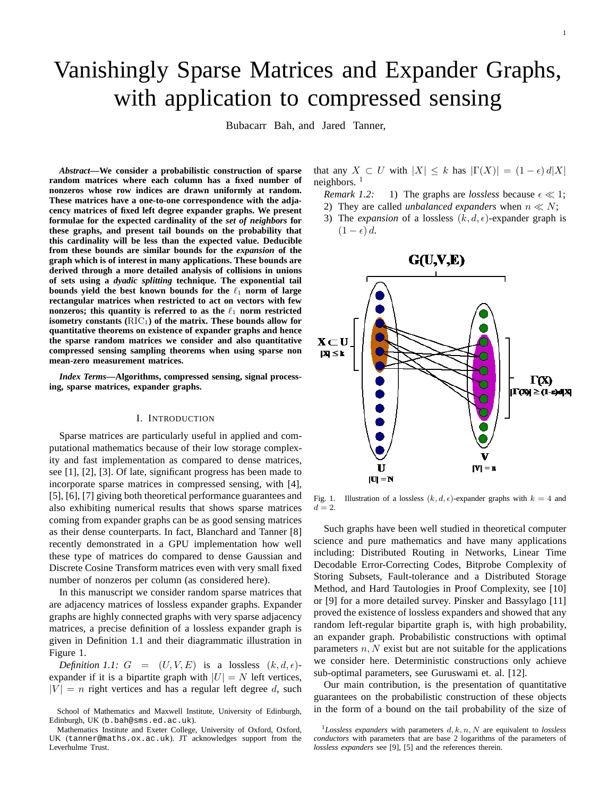# Vanishingly Sparse Matrices and Expander Graphs, with application to compressed sensing

Bubacarr Bah, and Jared Tanner,

*Abstract***—We consider a probabilistic construction of sparse random matrices where each column has a fixed number of nonzeros whose row indices are drawn uniformly at random. These matrices have a one-to-one correspondence with the adjacency matrices of fixed left degree expander graphs. We present formulae for the expected cardinality of the** *set of neighbors* **for these graphs, and present tail bounds on the probability that this cardinality will be less than the expected value. Deducible from these bounds are similar bounds for the** *expansion* **of the graph which is of interest in many applications. These bounds are derived through a more detailed analysis of collisions in unions of sets using a** *dyadic splitting* **technique. The exponential tail bounds yield the best known bounds for the**  $\ell_1$  **norm of large rectangular matrices when restricted to act on vectors with few nonzeros; this quantity is referred to as the**  $\ell_1$  **norm restricted** isometry constants (RIC<sub>1</sub>) of the matrix. These bounds allow for **quantitative theorems on existence of expander graphs and hence the sparse random matrices we consider and also quantitative compressed sensing sampling theorems when using sparse non mean-zero measurement matrices.**

*Index Terms***—Algorithms, compressed sensing, signal processing, sparse matrices, expander graphs.**

## I. INTRODUCTION

Sparse matrices are particularly useful in applied and computational mathematics because of their low storage complexity and fast implementation as compared to dense matrices, see [1], [2], [3]. Of late, significant progress has been made to incorporate sparse matrices in compressed sensing, with [4], [5], [6], [7] giving both theoretical performance guarantees and also exhibiting numerical results that shows sparse matrices coming from expander graphs can be as good sensing matrices as their dense counterparts. In fact, Blanchard and Tanner [8] recently demonstrated in a GPU implementation how well these type of matrices do compared to dense Gaussian and Discrete Cosine Transform matrices even with very small fixed number of nonzeros per column (as considered here).

In this manuscript we consider random sparse matrices that are adjacency matrices of lossless expander graphs. Expander graphs are highly connected graphs with very sparse adjacency matrices, a precise definition of a lossless expander graph is given in Definition 1.1 and their diagrammatic illustration in Figure 1.

*Definition 1.1:*  $G = (U, V, E)$  is a lossless  $(k, d, \epsilon)$ expander if it is a bipartite graph with  $|U| = N$  left vertices,  $|V| = n$  right vertices and has a regular left degree d, such that any  $X \subset U$  with  $|X| \leq k$  has  $|\Gamma(X)| = (1 - \epsilon) d|X|$ neighbors. <sup>1</sup>

- *Remark 1.2:* 1) The graphs are *lossless* because  $\epsilon \ll 1$ ;
- 2) They are called *unbalanced expanders* when  $n \ll N$ ;
- 3) The *expansion* of a lossless  $(k, d, \epsilon)$ -expander graph is  $(1 - \epsilon) d$ .



Fig. 1. Illustration of a lossless  $(k, d, \epsilon)$ -expander graphs with  $k = 4$  and  $d=2.$ 

Such graphs have been well studied in theoretical computer science and pure mathematics and have many applications including: Distributed Routing in Networks, Linear Time Decodable Error-Correcting Codes, Bitprobe Complexity of Storing Subsets, Fault-tolerance and a Distributed Storage Method, and Hard Tautologies in Proof Complexity, see [10] or [9] for a more detailed survey. Pinsker and Bassylago [11] proved the existence of lossless expanders and showed that any random left-regular bipartite graph is, with high probability, an expander graph. Probabilistic constructions with optimal parameters  $n, N$  exist but are not suitable for the applications we consider here. Deterministic constructions only achieve sub-optimal parameters, see Guruswami et. al. [12].

Our main contribution, is the presentation of quantitative guarantees on the probabilistic construction of these objects in the form of a bound on the tail probability of the size of

School of Mathematics and Maxwell Institute, University of Edinburgh, Edinburgh, UK (b.bah@sms.ed.ac.uk).

Mathematics Institute and Exeter College, University of Oxford, Oxford, UK (tanner@maths.ox.ac.uk). JT acknowledges support from the Leverhulme Trust.

 $1$ *Lossless expanders* with parameters  $d, k, n, N$  are equivalent to *lossless conductors* with parameters that are base 2 logarithms of the parameters of *lossless expanders* see [9], [5] and the references therein.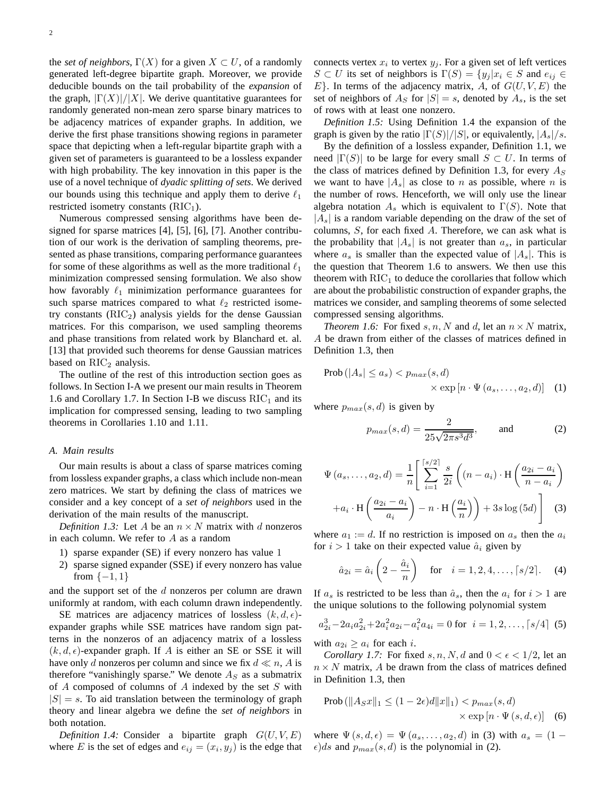the *set of neighbors*,  $\Gamma(X)$  for a given  $X \subset U$ , of a randomly generated left-degree bipartite graph. Moreover, we provide deducible bounds on the tail probability of the *expansion* of the graph,  $|\Gamma(X)|/|X|$ . We derive quantitative guarantees for randomly generated non-mean zero sparse binary matrices to be adjacency matrices of expander graphs. In addition, we derive the first phase transitions showing regions in parameter space that depicting when a left-regular bipartite graph with a given set of parameters is guaranteed to be a lossless expander with high probability. The key innovation in this paper is the use of a novel technique of *dyadic splitting of sets*. We derived our bounds using this technique and apply them to derive  $\ell_1$ restricted isometry constants  $(RIC<sub>1</sub>)$ .

Numerous compressed sensing algorithms have been designed for sparse matrices [4], [5], [6], [7]. Another contribution of our work is the derivation of sampling theorems, presented as phase transitions, comparing performance guarantees for some of these algorithms as well as the more traditional  $\ell_1$ minimization compressed sensing formulation. We also show how favorably  $\ell_1$  minimization performance guarantees for such sparse matrices compared to what  $\ell_2$  restricted isometry constants  $(RIC<sub>2</sub>)$  analysis yields for the dense Gaussian matrices. For this comparison, we used sampling theorems and phase transitions from related work by Blanchard et. al. [13] that provided such theorems for dense Gaussian matrices based on  $\mathrm{RIC}_2$  analysis.

The outline of the rest of this introduction section goes as follows. In Section I-A we present our main results in Theorem 1.6 and Corollary 1.7. In Section I-B we discuss  $RIC<sub>1</sub>$  and its implication for compressed sensing, leading to two sampling theorems in Corollaries 1.10 and 1.11.

#### *A. Main results*

Our main results is about a class of sparse matrices coming from lossless expander graphs, a class which include non-mean zero matrices. We start by defining the class of matrices we consider and a key concept of a *set of neighbors* used in the derivation of the main results of the manuscript.

*Definition 1.3:* Let A be an  $n \times N$  matrix with d nonzeros in each column. We refer to A as a random

- 1) sparse expander (SE) if every nonzero has value 1
- 2) sparse signed expander (SSE) if every nonzero has value from  $\{-1, 1\}$

and the support set of the  $d$  nonzeros per column are drawn uniformly at random, with each column drawn independently.

SE matrices are adjacency matrices of lossless  $(k, d, \epsilon)$ expander graphs while SSE matrices have random sign patterns in the nonzeros of an adjacency matrix of a lossless  $(k, d, \epsilon)$ -expander graph. If A is either an SE or SSE it will have only d nonzeros per column and since we fix  $d \ll n$ , A is therefore "vanishingly sparse." We denote  $A<sub>S</sub>$  as a submatrix of A composed of columns of A indexed by the set S with  $|S| = s$ . To aid translation between the terminology of graph theory and linear algebra we define the *set of neighbors* in both notation.

*Definition 1.4:* Consider a bipartite graph  $G(U, V, E)$ where E is the set of edges and  $e_{ij} = (x_i, y_j)$  is the edge that

connects vertex  $x_i$  to vertex  $y_j$ . For a given set of left vertices  $S \subset U$  its set of neighbors is  $\Gamma(S) = \{y_j | x_i \in S \text{ and } e_{ij} \in$  $E$ . In terms of the adjacency matrix, A, of  $G(U, V, E)$  the set of neighbors of  $A_S$  for  $|S| = s$ , denoted by  $A_s$ , is the set of rows with at least one nonzero.

*Definition 1.5:* Using Definition 1.4 the expansion of the graph is given by the ratio  $|\Gamma(S)|/|S|$ , or equivalently,  $|A_s|/s$ .

By the definition of a lossless expander, Definition 1.1, we need  $|\Gamma(S)|$  to be large for every small  $S \subset U$ . In terms of the class of matrices defined by Definition 1.3, for every  $A<sub>S</sub>$ we want to have  $|A_s|$  as close to n as possible, where n is the number of rows. Henceforth, we will only use the linear algebra notation  $A_s$  which is equivalent to  $\Gamma(S)$ . Note that  $|A_s|$  is a random variable depending on the draw of the set of columns, S, for each fixed A. Therefore, we can ask what is the probability that  $|A_s|$  is not greater than  $a_s$ , in particular where  $a_s$  is smaller than the expected value of  $|A_s|$ . This is the question that Theorem 1.6 to answers. We then use this theorem with  $\mathrm{RIC}_1$  to deduce the corollaries that follow which are about the probabilistic construction of expander graphs, the matrices we consider, and sampling theorems of some selected compressed sensing algorithms.

*Theorem 1.6:* For fixed  $s, n, N$  and  $d$ , let an  $n \times N$  matrix, A be drawn from either of the classes of matrices defined in Definition 1.3, then

$$
\text{Prob}(|A_s| \le a_s) < p_{max}(s, d) \\
\times \exp\left[n \cdot \Psi\left(a_s, \dots, a_2, d\right)\right] \tag{1}
$$

where  $p_{max}(s, d)$  is given by

$$
p_{max}(s, d) = \frac{2}{25\sqrt{2\pi s^3 d^3}}, \quad \text{and} \quad (2)
$$

$$
\Psi (a_s, \dots, a_2, d) = \frac{1}{n} \left[ \sum_{i=1}^{s/2} \frac{s}{2i} \left( (n - a_i) \cdot \mathbf{H} \left( \frac{a_{2i} - a_i}{n - a_i} \right) + a_i \cdot \mathbf{H} \left( \frac{a_{2i} - a_i}{a_i} \right) - n \cdot \mathbf{H} \left( \frac{a_i}{n} \right) \right) + 3s \log(5d) \right]
$$
(3)

where  $a_1 := d$ . If no restriction is imposed on  $a_s$  then the  $a_i$ for  $i > 1$  take on their expected value  $\hat{a}_i$  given by

$$
\hat{a}_{2i} = \hat{a}_i \left( 2 - \frac{\hat{a}_i}{n} \right)
$$
 for  $i = 1, 2, 4, ..., \lceil s/2 \rceil$ . (4)

If  $a_s$  is restricted to be less than  $\hat{a}_s$ , then the  $a_i$  for  $i > 1$  are the unique solutions to the following polynomial system

$$
a_{2i}^3 - 2a_i a_{2i}^2 + 2a_i^2 a_{2i} - a_i^2 a_{4i} = 0 \text{ for } i = 1, 2, \dots, \lceil s/4 \rceil \tag{5}
$$

with  $a_{2i} \geq a_i$  for each *i*.

*Corollary 1.7:* For fixed s, n, N, d and  $0 < \epsilon < 1/2$ , let an  $n \times N$  matrix, A be drawn from the class of matrices defined in Definition 1.3, then

$$
\text{Prob}\left(\|A_S x\|_1 \le (1 - 2\epsilon)d\|x\|_1\right) < p_{max}(s, d) \\
\times \exp\left[n \cdot \Psi\left(s, d, \epsilon\right)\right] \tag{6}
$$

where  $\Psi(s, d, \epsilon) = \Psi(a_s, \ldots, a_2, d)$  in (3) with  $a_s = (1 \epsilon$ )ds and  $p_{max}(s, d)$  is the polynomial in (2).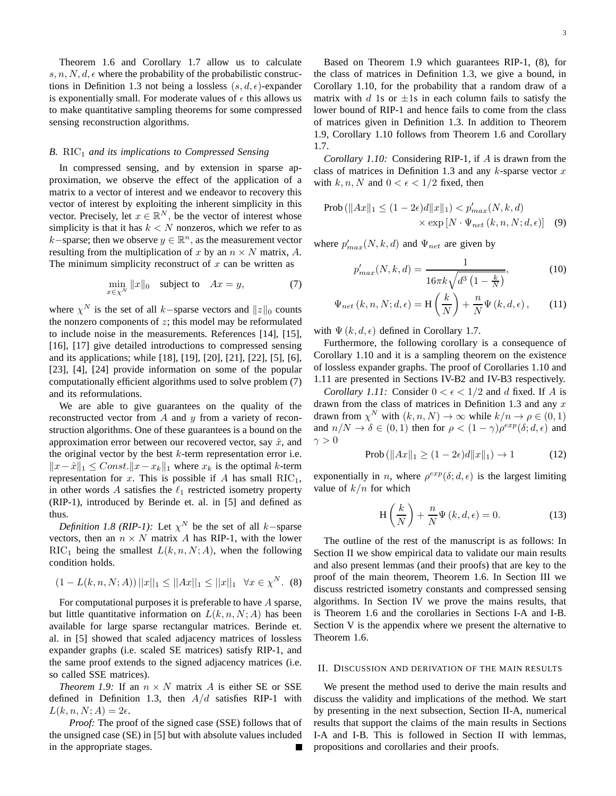Theorem 1.6 and Corollary 1.7 allow us to calculate  $s, n, N, d, \epsilon$  where the probability of the probabilistic constructions in Definition 1.3 not being a lossless  $(s, d, \epsilon)$ -expander is exponentially small. For moderate values of  $\epsilon$  this allows us to make quantitative sampling theorems for some compressed sensing reconstruction algorithms.

## *B.* RIC<sub>1</sub> *and its implications to Compressed Sensing*

In compressed sensing, and by extension in sparse approximation, we observe the effect of the application of a matrix to a vector of interest and we endeavor to recovery this vector of interest by exploiting the inherent simplicity in this vector. Precisely, let  $x \in \mathbb{R}^N$ , be the vector of interest whose simplicity is that it has  $k < N$  nonzeros, which we refer to as  $k$ −sparse; then we observe  $y \in \mathbb{R}^n$ , as the measurement vector resulting from the multiplication of x by an  $n \times N$  matrix, A. The minimum simplicity reconstruct of  $x$  can be written as

$$
\min_{x \in \chi^N} \|x\|_0 \quad \text{subject to} \quad Ax = y,\tag{7}
$$

where  $\chi^N$  is the set of all k–sparse vectors and  $||z||_0$  counts the nonzero components of  $z$ ; this model may be reformulated to include noise in the measurements. References [14], [15], [16], [17] give detailed introductions to compressed sensing and its applications; while [18], [19], [20], [21], [22], [5], [6], [23], [4], [24] provide information on some of the popular computationally efficient algorithms used to solve problem (7) and its reformulations.

We are able to give guarantees on the quality of the reconstructed vector from  $A$  and  $y$  from a variety of reconstruction algorithms. One of these guarantees is a bound on the approximation error between our recovered vector, say  $\hat{x}$ , and the original vector by the best  $k$ -term representation error i.e.  $||x - \hat{x}||_1$  ≤ Const. $||x - x_k||_1$  where  $x_k$  is the optimal k-term representation for x. This is possible if A has small  $\text{RIC}_1$ , in other words A satisfies the  $\ell_1$  restricted isometry property (RIP-1), introduced by Berinde et. al. in [5] and defined as thus.

*Definition 1.8 (RIP-1):* Let  $\chi^N$  be the set of all k–sparse vectors, then an  $n \times N$  matrix A has RIP-1, with the lower RIC<sub>1</sub> being the smallest  $L(k, n, N; A)$ , when the following condition holds.

$$
(1 - L(k, n, N; A)) ||x||_1 \le ||Ax||_1 \le ||x||_1 \quad \forall x \in \chi^N. \tag{8}
$$

For computational purposes it is preferable to have A sparse, but little quantitative information on  $L(k, n, N; A)$  has been available for large sparse rectangular matrices. Berinde et. al. in [5] showed that scaled adjacency matrices of lossless expander graphs (i.e. scaled SE matrices) satisfy RIP-1, and the same proof extends to the signed adjacency matrices (i.e. so called SSE matrices).

*Theorem 1.9:* If an  $n \times N$  matrix A is either SE or SSE defined in Definition 1.3, then  $A/d$  satisfies RIP-1 with  $L(k, n, N; A) = 2\epsilon.$ 

*Proof:* The proof of the signed case (SSE) follows that of the unsigned case (SE) in [5] but with absolute values included in the appropriate stages.

Based on Theorem 1.9 which guarantees RIP-1, (8), for the class of matrices in Definition 1.3, we give a bound, in Corollary 1.10, for the probability that a random draw of a matrix with d 1s or  $\pm 1$ s in each column fails to satisfy the lower bound of RIP-1 and hence fails to come from the class of matrices given in Definition 1.3. In addition to Theorem 1.9, Corollary 1.10 follows from Theorem 1.6 and Corollary 1.7.

*Corollary 1.10:* Considering RIP-1, if A is drawn from the class of matrices in Definition 1.3 and any  $k$ -sparse vector  $x$ with  $k, n, N$  and  $0 < \epsilon < 1/2$  fixed, then

$$
\text{Prob}\left(\|Ax\|_1 \le (1 - 2\epsilon)d\|x\|_1\right) < p'_{max}(N, k, d) \\
\times \exp\left[N \cdot \Psi_{net}\left(k, n, N; d, \epsilon\right)\right] \tag{9}
$$

where  $p'_{max}(N, k, d)$  and  $\Psi_{net}$  are given by

$$
p'_{max}(N,k,d) = \frac{1}{16\pi k \sqrt{d^3 \left(1 - \frac{k}{N}\right)}},\tag{10}
$$

$$
\Psi_{net}(k, n, N; d, \epsilon) = \mathcal{H}\left(\frac{k}{N}\right) + \frac{n}{N}\Psi(k, d, \epsilon), \quad (11)
$$

with  $\Psi(k, d, \epsilon)$  defined in Corollary 1.7.

Furthermore, the following corollary is a consequence of Corollary 1.10 and it is a sampling theorem on the existence of lossless expander graphs. The proof of Corollaries 1.10 and 1.11 are presented in Sections IV-B2 and IV-B3 respectively.

*Corollary 1.11:* Consider  $0 < \epsilon < 1/2$  and d fixed. If A is drawn from the class of matrices in Definition 1.3 and any  $x$ drawn from  $\chi^N$  with  $(k, n, N) \to \infty$  while  $k/n \to \rho \in (0, 1)$ and  $n/N \to \delta \in (0,1)$  then for  $\rho < (1 - \gamma)\rho^{exp}(\delta; d, \epsilon)$  and  $\gamma > 0$ 

$$
\text{Prob}\left(\|Ax\|_1 \ge (1 - 2\epsilon)d\|x\|_1\right) \to 1\tag{12}
$$

exponentially in *n*, where  $\rho^{exp}(\delta; d, \epsilon)$  is the largest limiting value of  $k/n$  for which

$$
H\left(\frac{k}{N}\right) + \frac{n}{N}\Psi\left(k, d, \epsilon\right) = 0.
$$
 (13)

The outline of the rest of the manuscript is as follows: In Section II we show empirical data to validate our main results and also present lemmas (and their proofs) that are key to the proof of the main theorem, Theorem 1.6. In Section III we discuss restricted isometry constants and compressed sensing algorithms. In Section IV we prove the mains results, that is Theorem 1.6 and the corollaries in Sections I-A and I-B. Section V is the appendix where we present the alternative to Theorem 1.6.

# II. DISCUSSION AND DERIVATION OF THE MAIN RESULTS

We present the method used to derive the main results and discuss the validity and implications of the method. We start by presenting in the next subsection, Section II-A, numerical results that support the claims of the main results in Sections I-A and I-B. This is followed in Section II with lemmas, propositions and corollaries and their proofs.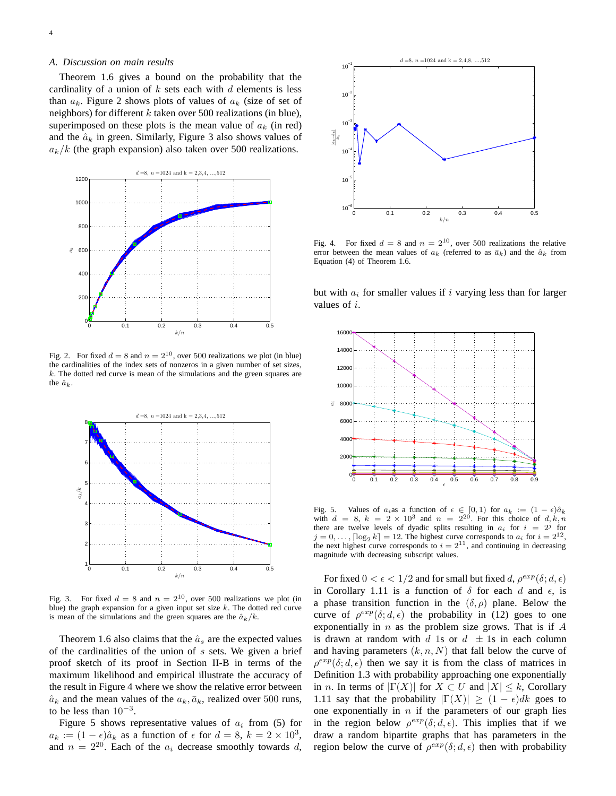## *A. Discussion on main results*

Theorem 1.6 gives a bound on the probability that the cardinality of a union of  $k$  sets each with  $d$  elements is less than  $a_k$ . Figure 2 shows plots of values of  $a_k$  (size of set of neighbors) for different  $k$  taken over 500 realizations (in blue), superimposed on these plots is the mean value of  $a_k$  (in red) and the  $\hat{a}_k$  in green. Similarly, Figure 3 also shows values of  $a_k/k$  (the graph expansion) also taken over 500 realizations.



Fig. 2. For fixed  $d = 8$  and  $n = 2^{10}$ , over 500 realizations we plot (in blue) the cardinalities of the index sets of nonzeros in a given number of set sizes,  $k$ . The dotted red curve is mean of the simulations and the green squares are the  $\hat{a}_k$ .



Fig. 3. For fixed  $d = 8$  and  $n = 2^{10}$ , over 500 realizations we plot (in blue) the graph expansion for a given input set size  $k$ . The dotted red curve is mean of the simulations and the green squares are the  $\hat{a}_k/k$ .

Theorem 1.6 also claims that the  $\hat{a}_s$  are the expected values of the cardinalities of the union of  $s$  sets. We given a brief proof sketch of its proof in Section II-B in terms of the maximum likelihood and empirical illustrate the accuracy of the result in Figure 4 where we show the relative error between  $\hat{a}_k$  and the mean values of the  $a_k, \bar{a}_k$ , realized over 500 runs, to be less than  $10^{-3}$ .

Figure 5 shows representative values of  $a_i$  from (5) for  $a_k := (1 - \epsilon) \hat{a}_k$  as a function of  $\epsilon$  for  $d = 8$ ,  $k = 2 \times 10^3$ , and  $n = 2^{20}$ . Each of the  $a_i$  decrease smoothly towards d,



Fig. 4. For fixed  $d = 8$  and  $n = 2^{10}$ , over 500 realizations the relative error between the mean values of  $a_k$  (referred to as  $\bar{a}_k$ ) and the  $\hat{a}_k$  from Equation (4) of Theorem 1.6.

but with  $a_i$  for smaller values if i varying less than for larger values of i.



Fig. 5. Values of  $a_i$  as a function of  $\epsilon \in [0,1)$  for  $a_k := (1 - \epsilon)\hat{a}_k$  with  $d = 8$ ,  $k = 2 \times 10^3$  and  $n = 2^{20}$ . For this choice of  $d, k, n$ there are twelve levels of dyadic splits resulting in  $a_i$  for  $i = 2^j$  for  $j = 0, \ldots, \lceil \log_2 k \rceil = 12$ . The highest curve corresponds to  $a_i$  for  $i = 2^{12}$ , the next highest curve corresponds to  $i = 2^{11}$ , and continuing in decreasing magnitude with decreasing subscript values.

For fixed  $0 < \epsilon < 1/2$  and for small but fixed d,  $\rho^{exp}(\delta; d, \epsilon)$ in Corollary 1.11 is a function of  $\delta$  for each d and  $\epsilon$ , is a phase transition function in the  $(\delta, \rho)$  plane. Below the curve of  $\rho^{exp}(\delta; d, \epsilon)$  the probability in (12) goes to one exponentially in  $n$  as the problem size grows. That is if  $A$ is drawn at random with d 1s or  $d \pm 1$ s in each column and having parameters  $(k, n, N)$  that fall below the curve of  $\rho^{exp}(\delta; d, \epsilon)$  then we say it is from the class of matrices in Definition 1.3 with probability approaching one exponentially in *n*. In terms of  $|\Gamma(X)|$  for  $X \subset U$  and  $|X| \leq k$ , Corollary 1.11 say that the probability  $|\Gamma(X)| \geq (1 - \epsilon)dk$  goes to one exponentially in  $n$  if the parameters of our graph lies in the region below  $\rho^{exp}(\delta; d, \epsilon)$ . This implies that if we draw a random bipartite graphs that has parameters in the region below the curve of  $\rho^{exp}(\delta; d, \epsilon)$  then with probability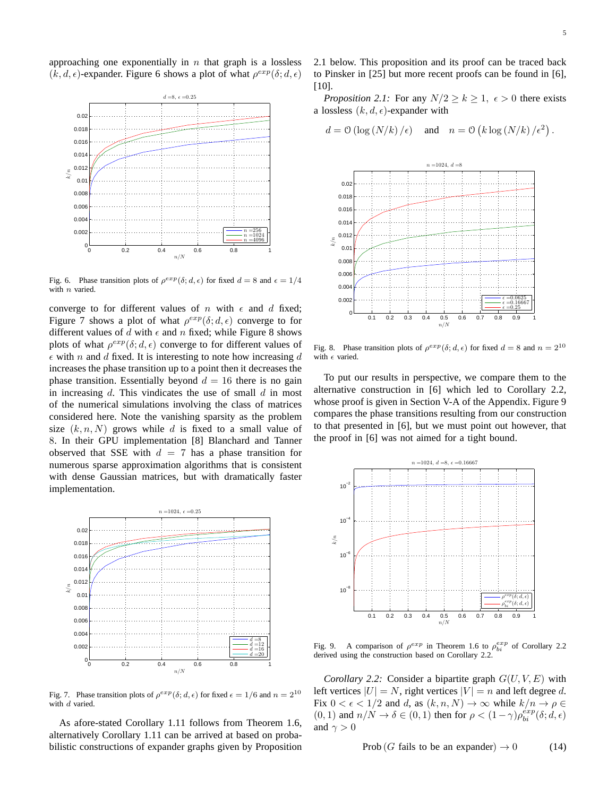approaching one exponentially in  $n$  that graph is a lossless  $(k, d, \epsilon)$ -expander. Figure 6 shows a plot of what  $\rho^{exp}(\delta; d, \epsilon)$ 



Fig. 6. Phase transition plots of  $\rho^{exp}(\delta; d, \epsilon)$  for fixed  $d = 8$  and  $\epsilon = 1/4$ with  $n$  varied.

converge to for different values of n with  $\epsilon$  and d fixed; Figure 7 shows a plot of what  $\rho^{exp}(\delta; d, \epsilon)$  converge to for different values of d with  $\epsilon$  and n fixed; while Figure 8 shows plots of what  $\rho^{exp}(\delta; d, \epsilon)$  converge to for different values of  $\epsilon$  with n and d fixed. It is interesting to note how increasing d increases the phase transition up to a point then it decreases the phase transition. Essentially beyond  $d = 16$  there is no gain in increasing  $d$ . This vindicates the use of small  $d$  in most of the numerical simulations involving the class of matrices considered here. Note the vanishing sparsity as the problem size  $(k, n, N)$  grows while d is fixed to a small value of 8. In their GPU implementation [8] Blanchard and Tanner observed that SSE with  $d = 7$  has a phase transition for numerous sparse approximation algorithms that is consistent with dense Gaussian matrices, but with dramatically faster implementation.



Fig. 7. Phase transition plots of  $\rho^{exp}(\delta; d, \epsilon)$  for fixed  $\epsilon = 1/6$  and  $n = 2^{10}$ with  $d$  varied.

As afore-stated Corollary 1.11 follows from Theorem 1.6, alternatively Corollary 1.11 can be arrived at based on probabilistic constructions of expander graphs given by Proposition 2.1 below. This proposition and its proof can be traced back to Pinsker in [25] but more recent proofs can be found in [6], [10].

*Proposition 2.1:* For any  $N/2 \ge k \ge 1$ ,  $\epsilon > 0$  there exists a lossless  $(k, d, \epsilon)$ -expander with

$$
d = \mathcal{O}(\log(N/k)/\epsilon)
$$
 and  $n = \mathcal{O}(k \log(N/k)/\epsilon^2)$ .



Fig. 8. Phase transition plots of  $\rho^{exp}(\delta; d, \epsilon)$  for fixed  $d = 8$  and  $n = 2^{10}$ with  $\epsilon$  varied.

To put our results in perspective, we compare them to the alternative construction in [6] which led to Corollary 2.2, whose proof is given in Section V-A of the Appendix. Figure 9 compares the phase transitions resulting from our construction to that presented in [6], but we must point out however, that the proof in [6] was not aimed for a tight bound.



Fig. 9. A comparison of  $\rho^{exp}$  in Theorem 1.6 to  $\rho_{bi}^{exp}$  of Corollary 2.2 derived using the construction based on Corollary 2.2.

*Corollary 2.2:* Consider a bipartite graph  $G(U, V, E)$  with left vertices  $|U| = N$ , right vertices  $|V| = n$  and left degree d. Fix  $0 < \epsilon < 1/2$  and d, as  $(k, n, N) \rightarrow \infty$  while  $k/n \rightarrow \rho \in$  $(0, 1)$  and  $n/N \to \delta \in (0, 1)$  then for  $\rho < (1 - \gamma) \rho_{bi}^{exp}(\delta; d, \epsilon)$ and  $\gamma > 0$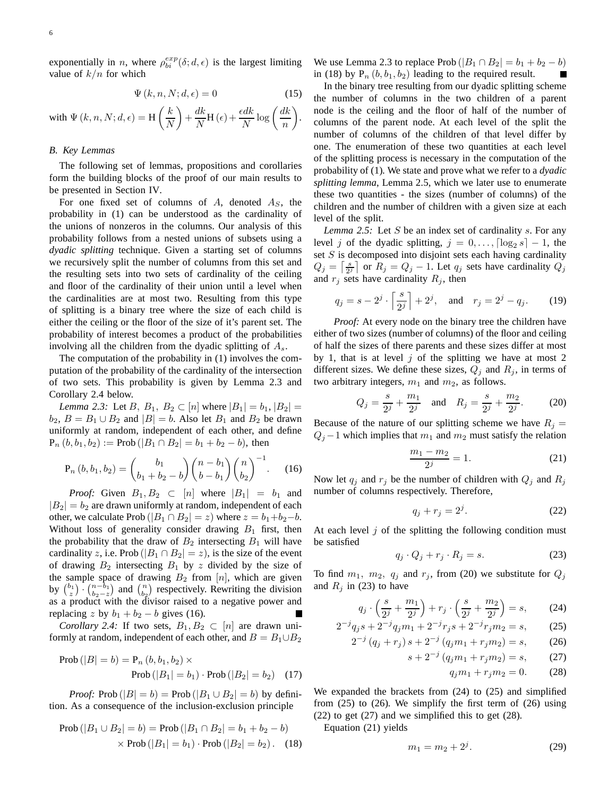exponentially in *n*, where  $\rho_{bi}^{exp}(\delta; d, \epsilon)$  is the largest limiting value of  $k/n$  for which

$$
\Psi(k, n, N; d, \epsilon) = 0 \tag{15}
$$

with  $\Psi(k, n, N; d, \epsilon) = H$  $k$ N  $\overline{\phantom{0}}$  $+\frac{dk}{l}$  $\frac{dk}{N}$ H ( $\epsilon$ ) +  $\frac{\epsilon dk}{N}$  log  $\left(\frac{dk}{n}\right)$ n  $\setminus$ .

## *B. Key Lemmas*

The following set of lemmas, propositions and corollaries form the building blocks of the proof of our main results to be presented in Section IV.

For one fixed set of columns of  $A$ , denoted  $A<sub>S</sub>$ , the probability in (1) can be understood as the cardinality of the unions of nonzeros in the columns. Our analysis of this probability follows from a nested unions of subsets using a *dyadic splitting* technique. Given a starting set of columns we recursively split the number of columns from this set and the resulting sets into two sets of cardinality of the ceiling and floor of the cardinality of their union until a level when the cardinalities are at most two. Resulting from this type of splitting is a binary tree where the size of each child is either the ceiling or the floor of the size of it's parent set. The probability of interest becomes a product of the probabilities involving all the children from the dyadic splitting of  $A_s$ .

The computation of the probability in (1) involves the computation of the probability of the cardinality of the intersection of two sets. This probability is given by Lemma 2.3 and Corollary 2.4 below.

*Lemma 2.3:* Let  $B_1, B_2 \subset [n]$  where  $|B_1| = b_1, |B_2| =$  $b_2$ ,  $B = B_1 \cup B_2$  and  $|B| = b$ . Also let  $B_1$  and  $B_2$  be drawn uniformly at random, independent of each other, and define  $P_n (b, b_1, b_2) := Prob(|B_1 \cap B_2| = b_1 + b_2 - b)$ , then

$$
\mathbf{P}_n (b, b_1, b_2) = {b_1 \choose b_1 + b_2 - b} {n - b_1 \choose b - b_1} {n \choose b_2}^{-1}.
$$
 (16)

*Proof:* Given  $B_1, B_2 \subset [n]$  where  $|B_1| = b_1$  and  $|B_2| = b_2$  are drawn uniformly at random, independent of each other, we calculate Prob ( $|B_1 \cap B_2| = z$ ) where  $z = b_1 + b_2 - b$ . Without loss of generality consider drawing  $B_1$  first, then the probability that the draw of  $B_2$  intersecting  $B_1$  will have cardinality z, i.e. Prob ( $|B_1 \cap B_2| = z$ ), is the size of the event of drawing  $B_2$  intersecting  $B_1$  by z divided by the size of the sample space of drawing  $B_2$  from [n], which are given by  $\binom{b_1}{z} \cdot \binom{n-b_1}{b_2-z}$  and  $\binom{n}{b_2}$  respectively. Rewriting the division as a product with the divisor raised to a negative power and replacing z by  $b_1 + b_2 - b$  gives (16).

*Corollary 2.4:* If two sets,  $B_1, B_2 \subset [n]$  are drawn uniformly at random, independent of each other, and  $B = B_1 \cup B_2$ 

Prob 
$$
(|B| = b) = P_n (b, b_1, b_2) \times
$$
  
Prob  $(|B_1| = b_1) \cdot$ Prob  $(|B_2| = b_2)$  (17)

*Proof:* Prob ( $|B| = b$ ) = Prob ( $|B_1 \cup B_2| = b$ ) by definition. As a consequence of the inclusion-exclusion principle

Prob 
$$
(|B_1 \cup B_2| = b)
$$
 = Prob  $(|B_1 \cap B_2| = b_1 + b_2 - b)$   
× Prob  $(|B_1| = b_1)$  · Prob  $(|B_2| = b_2)$ . (18)

We use Lemma 2.3 to replace Prob  $(|B_1 \cap B_2| = b_1 + b_2 - b)$ in (18) by  $P_n (b, b_1, b_2)$  leading to the required result.

In the binary tree resulting from our dyadic splitting scheme the number of columns in the two children of a parent node is the ceiling and the floor of half of the number of columns of the parent node. At each level of the split the number of columns of the children of that level differ by one. The enumeration of these two quantities at each level of the splitting process is necessary in the computation of the probability of (1). We state and prove what we refer to a *dyadic splitting lemma*, Lemma 2.5, which we later use to enumerate these two quantities - the sizes (number of columns) of the children and the number of children with a given size at each level of the split.

*Lemma 2.5:* Let S be an index set of cardinality s. For any level j of the dyadic splitting,  $j = 0, \ldots, \lceil \log_2 s \rceil - 1$ , the set  $S$  is decomposed into disjoint sets each having cardinality  $Q_j = \left[\frac{s}{2^j}\right]$  or  $R_j = Q_j - 1$ . Let  $q_j$  sets have cardinality  $Q_j$ and  $r_j$  sets have cardinality  $R_j$ , then

$$
q_j = s - 2^j \cdot \left[ \frac{s}{2^j} \right] + 2^j
$$
, and  $r_j = 2^j - q_j$ . (19)

*Proof:* At every node on the binary tree the children have either of two sizes (number of columns) of the floor and ceiling of half the sizes of there parents and these sizes differ at most by 1, that is at level  $j$  of the splitting we have at most 2 different sizes. We define these sizes,  $Q_j$  and  $R_j$ , in terms of two arbitrary integers,  $m_1$  and  $m_2$ , as follows.

$$
Q_j = \frac{s}{2^j} + \frac{m_1}{2^j} \quad \text{and} \quad R_j = \frac{s}{2^j} + \frac{m_2}{2^j}.
$$
 (20)

Because of the nature of our splitting scheme we have  $R_j =$  $Q_j - 1$  which implies that  $m_1$  and  $m_2$  must satisfy the relation

$$
\frac{m_1 - m_2}{2^j} = 1.
$$
 (21)

Now let  $q_i$  and  $r_j$  be the number of children with  $Q_i$  and  $R_j$ number of columns respectively. Therefore,

$$
q_j + r_j = 2^j. \tag{22}
$$

At each level  $j$  of the splitting the following condition must be satisfied

$$
q_j \cdot Q_j + r_j \cdot R_j = s. \tag{23}
$$

To find  $m_1$ ,  $m_2$ ,  $q_j$  and  $r_j$ , from (20) we substitute for  $Q_j$ and  $R_i$  in (23) to have

$$
q_j \cdot \left(\frac{s}{2^j} + \frac{m_1}{2^j}\right) + r_j \cdot \left(\frac{s}{2^j} + \frac{m_2}{2^j}\right) = s,\tag{24}
$$

$$
2^{-j}q_j s + 2^{-j}q_j m_1 + 2^{-j}r_j s + 2^{-j}r_j m_2 = s,
$$
 (25)  

$$
2^{-j} (q_j + r_j) s + 2^{-j} (q_j m_1 + r_j m_2) = s,
$$
 (26)

$$
(20)
$$
  

$$
s + 2^{-j} (q_j m_1 + r_j m_2) = s,
$$
 (27)

$$
q_j m_1 + r_j m_2 = 0. \t(28)
$$

We expanded the brackets from (24) to (25) and simplified from (25) to (26). We simplify the first term of (26) using (22) to get (27) and we simplified this to get (28).

Equation (21) yields

$$
m_1 = m_2 + 2^j. \t\t(29)
$$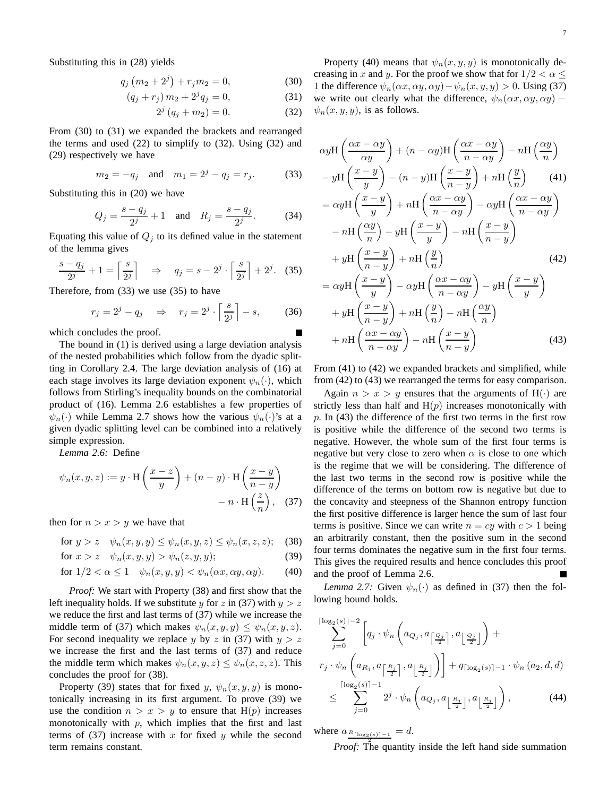Substituting this in (28) yields

$$
q_j(m_2 + 2^j) + r_j m_2 = 0,
$$
\n(30)

$$
(q_j + r_j) m_2 + 2^j q_j = 0,
$$
\n(31)

$$
2^{j} (q_j + m_2) = 0.
$$
 (32)

From (30) to (31) we expanded the brackets and rearranged the terms and used  $(22)$  to simplify to  $(32)$ . Using  $(32)$  and (29) respectively we have

$$
m_2 = -q_j
$$
 and  $m_1 = 2^j - q_j = r_j$ . (33)

Substituting this in (20) we have

$$
Q_j = \frac{s - q_j}{2^j} + 1 \quad \text{and} \quad R_j = \frac{s - q_j}{2^j}.
$$
 (34)

Equating this value of  $Q_j$  to its defined value in the statement of the lemma gives

$$
\frac{s-q_j}{2^j} + 1 = \left\lceil \frac{s}{2^j} \right\rceil \quad \Rightarrow \quad q_j = s - 2^j \cdot \left\lceil \frac{s}{2^j} \right\rceil + 2^j. \tag{35}
$$

Therefore, from (33) we use (35) to have

$$
r_j = 2^j - q_j \quad \Rightarrow \quad r_j = 2^j \cdot \left\lceil \frac{s}{2^j} \right\rceil - s,\tag{36}
$$

which concludes the proof.

The bound in (1) is derived using a large deviation analysis of the nested probabilities which follow from the dyadic splitting in Corollary 2.4. The large deviation analysis of (16) at each stage involves its large deviation exponent  $\psi_n(\cdot)$ , which follows from Stirling's inequality bounds on the combinatorial product of (16). Lemma 2.6 establishes a few properties of  $\psi_n(\cdot)$  while Lemma 2.7 shows how the various  $\psi_n(\cdot)$ 's at a given dyadic splitting level can be combined into a relatively simple expression.

*Lemma 2.6:* Define

$$
\psi_n(x, y, z) := y \cdot \mathbf{H}\left(\frac{x-z}{y}\right) + (n - y) \cdot \mathbf{H}\left(\frac{x-y}{n-y}\right)
$$

$$
- n \cdot \mathbf{H}\left(\frac{z}{n}\right), \quad (37)
$$

then for  $n > x > y$  we have that

for 
$$
y > z
$$
  $\psi_n(x, y, y) \le \psi_n(x, y, z) \le \psi_n(x, z, z)$ ; (38)

$$
\text{for } x > z \quad \psi_n(x, y, y) > \psi_n(z, y, y); \tag{39}
$$

for 
$$
1/2 < \alpha \le 1
$$
  $\psi_n(x, y, y) < \psi_n(\alpha x, \alpha y, \alpha y)$ . (40)

*Proof:* We start with Property (38) and first show that the left inequality holds. If we substitute y for z in (37) with  $y > z$ we reduce the first and last terms of (37) while we increase the middle term of (37) which makes  $\psi_n(x, y, y) \leq \psi_n(x, y, z)$ . For second inequality we replace y by z in (37) with  $y > z$ we increase the first and the last terms of (37) and reduce the middle term which makes  $\psi_n(x, y, z) \leq \psi_n(x, z, z)$ . This concludes the proof for (38).

Property (39) states that for fixed y,  $\psi_n(x, y, y)$  is monotonically increasing in its first argument. To prove (39) we use the condition  $n > x > y$  to ensure that H(p) increases monotonically with  $p$ , which implies that the first and last terms of  $(37)$  increase with x for fixed y while the second term remains constant.

Property (40) means that  $\psi_n(x, y, y)$  is monotonically decreasing in x and y. For the proof we show that for  $1/2 < \alpha \leq$ 1 the difference  $\psi_n(\alpha x, \alpha y, \alpha y) - \psi_n(x, y, y) > 0$ . Using (37) we write out clearly what the difference,  $\psi_n(\alpha x, \alpha y, \alpha y)$  –  $\psi_n(x, y, y)$ , is as follows.

$$
\alpha y \text{H} \left( \frac{\alpha x - \alpha y}{\alpha y} \right) + (n - \alpha y) \text{H} \left( \frac{\alpha x - \alpha y}{n - \alpha y} \right) - n \text{H} \left( \frac{\alpha y}{n} \right)
$$
  

$$
- y \text{H} \left( \frac{x - y}{y} \right) - (n - y) \text{H} \left( \frac{x - y}{n - y} \right) + n \text{H} \left( \frac{y}{n} \right) \qquad (41)
$$
  

$$
= \alpha y \text{H} \left( \frac{x - y}{y} \right) + n \text{H} \left( \frac{\alpha x - \alpha y}{n - \alpha y} \right) - \alpha y \text{H} \left( \frac{\alpha x - \alpha y}{n - \alpha y} \right)
$$
  

$$
- n \text{H} \left( \frac{\alpha y}{n} \right) - y \text{H} \left( \frac{x - y}{y} \right) - n \text{H} \left( \frac{x - y}{n - y} \right)
$$
  

$$
+ y \text{H} \left( \frac{x - y}{n - y} \right) + n \text{H} \left( \frac{y}{n} \right) \qquad (42)
$$
  

$$
= \alpha y \text{H} \left( \frac{x - y}{y} \right) - \alpha y \text{H} \left( \frac{\alpha x - \alpha y}{n - \alpha y} \right) - y \text{H} \left( \frac{x - y}{y} \right)
$$
  

$$
+ y \text{H} \left( \frac{x - y}{n - y} \right) + n \text{H} \left( \frac{y}{n} \right) - n \text{H} \left( \frac{\alpha y}{n} \right)
$$
  

$$
+ n \text{H} \left( \frac{\alpha x - \alpha y}{n - \alpha y} \right) - n \text{H} \left( \frac{x - y}{n - y} \right) \qquad (43)
$$

From (41) to (42) we expanded brackets and simplified, while from (42) to (43) we rearranged the terms for easy comparison.

Again  $n > x > y$  ensures that the arguments of H(·) are strictly less than half and  $H(p)$  increases monotonically with  $p$ . In (43) the difference of the first two terms in the first row is positive while the difference of the second two terms is negative. However, the whole sum of the first four terms is negative but very close to zero when  $\alpha$  is close to one which is the regime that we will be considering. The difference of the last two terms in the second row is positive while the difference of the terms on bottom row is negative but due to the concavity and steepness of the Shannon entropy function the first positive difference is larger hence the sum of last four terms is positive. Since we can write  $n = cy$  with  $c > 1$  being an arbitrarily constant, then the positive sum in the second four terms dominates the negative sum in the first four terms. This gives the required results and hence concludes this proof and the proof of Lemma 2.6.

*Lemma 2.7:* Given  $\psi_n(\cdot)$  as defined in (37) then the following bound holds.

$$
\sum_{j=0}^{\lceil \log_2(s) \rceil - 2} \left[ q_j \cdot \psi_n \left( a_{Q_j}, a_{\lceil \frac{Q_j}{2} \rceil}, a_{\lfloor \frac{Q_j}{2} \rfloor} \right) + \right.
$$
  

$$
r_j \cdot \psi_n \left( a_{R_j}, a_{\lceil \frac{R_j}{2} \rceil}, a_{\lfloor \frac{R_j}{2} \rfloor} \right) \right] + q_{\lceil \log_2(s) \rceil - 1} \cdot \psi_n(a_2, d, d)
$$
  

$$
\leq \sum_{j=0}^{\lceil \log_2(s) \rceil - 1} 2^j \cdot \psi_n \left( a_{Q_j}, a_{\lfloor \frac{R_j}{2} \rfloor}, a_{\lfloor \frac{R_j}{2} \rfloor} \right), \tag{44}
$$

where  $a_{R[\log_2(s)]-1} = d$ .

*Proof:* The quantity inside the left hand side summation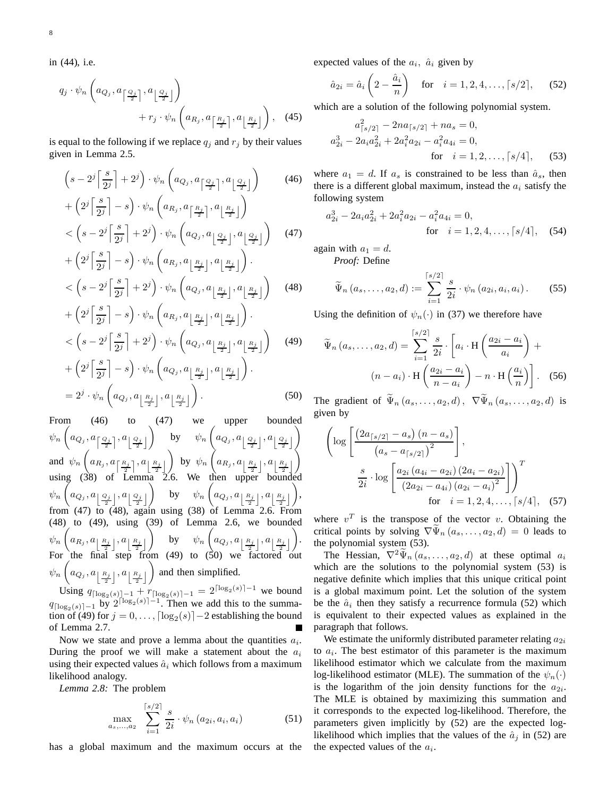in (44), i.e.

$$
q_j \cdot \psi_n\left(a_{Q_j}, a_{\left\lceil \frac{Q_j}{2} \right\rceil}, a_{\left\lfloor \frac{Q_j}{2} \right\rfloor}\right) + r_j \cdot \psi_n\left(a_{R_j}, a_{\left\lceil \frac{R_j}{2} \right\rceil}, a_{\left\lfloor \frac{R_j}{2} \right\rfloor}\right), \quad (45)
$$

is equal to the following if we replace  $q_i$  and  $r_j$  by their values given in Lemma 2.5.

$$
\left(s - 2^{j} \left\lceil \frac{s}{2^{j}} \right\rceil + 2^{j}\right) \cdot \psi_{n} \left(a_{Q_{j}}, a_{\left\lceil \frac{Q_{j}}{2} \right\rceil}, a_{\left\lfloor \frac{Q_{j}}{2} \right\rfloor}\right)
$$
\n
$$
(46)
$$

$$
+\left(2^{j}\left|\frac{s}{2^{j}}\right|-s\right)\cdot\psi_{n}\left(a_{R_{j}},a_{\left\lceil\frac{R_{j}}{2}\right\rceil},a_{\left\lfloor\frac{R_{j}}{2}\right\rfloor}\right) <\left(s-2^{j}\left\lceil\frac{s}{2^{j}}\right\rceil+2^{j}\right)\cdot\psi_{n}\left(a_{Q_{j}},a_{\left\lfloor\frac{Q_{j}}{2}\right\rfloor},a_{\left\lfloor\frac{Q_{j}}{2}\right\rfloor}\right)
$$
(47)  

$$
+\left(2^{j}\left\lceil\frac{s}{2^{j}}\right\rceil-s\right)\cdot\psi_{n}\left(a_{R_{j}},a_{\left\lfloor\frac{R_{j}}{2}\right\rfloor},a_{\left\lfloor\frac{R_{j}}{2}\right\rfloor}\right).
$$

$$
+\left(2^{j}\left|\frac{3}{2^{j}}\right|-s\right)\cdot\psi_{n}\left(a_{R_{j}},a_{\left[\frac{R_{j}}{2}\right]},a_{\left[\frac{R_{j}}{2}\right]}\right).
$$

$$
<\left(s-2^{j}\left[\frac{s}{2^{j}}\right]+2^{j}\right)\cdot\psi_{n}\left(a_{Q_{j}},a_{\left[\frac{R_{j}}{2}\right]},a_{\left[\frac{R_{j}}{2}\right]}\right)
$$
(48)
$$
\left(\psi_{n}\left(\frac{s}{2},\frac{s}{2}\right)\right)
$$

$$
+\left(2^{j}\left[\frac{s}{2^{j}}\right]-s\right)\cdot\psi_{n}\left(a_{R_{j}},a_{\left[\frac{R_{j}}{2}\right]},a_{\left[\frac{R_{j}}{2}\right]}\right).
$$

$$
<\left(s-2^{j}\left[\frac{s}{2^{j}}\right]+2^{j}\right)\cdot\psi_{n}\left(a_{Q_{j}},a_{\left[\frac{R_{j}}{2}\right]},a_{\left[\frac{R_{j}}{2}\right]}\right) \quad (49)
$$

$$
+\left(2^{j}\left[\frac{s}{2^{j}}\right]-s\right)\cdot\psi_{n}\left(a_{Q_{j}},a_{\left[\frac{R_{j}}{2}\right]},a_{\left[\frac{R_{j}}{2}\right]}\right).
$$

$$
=2^{j}\cdot\psi_{n}\left(a_{Q_{j}},a_{\left[\frac{R_{j}}{2}\right]},a_{\left[\frac{R_{j}}{2}\right]}\right).
$$
(50)

From (46) to (47) we upper bounded  $\psi_n$  $\sqrt{ }$  $a_{Q_j}, a_{\left\lceil\frac{Q_j}{2}\right\rceil}, a_{\left\lceil\frac{Q_j}{2}\right\rceil}$ 2 2  $\overline{\phantom{0}}$ by  $\psi_n$  $\sqrt{ }$  $a_{Q_j}, a_{\left \lfloor{\frac{Q_j}{2}}\right \rfloor}, a_{\left \lfloor{\frac{Q_j}{2}}\right \rfloor}$ 2  $\begin{array}{c} \hline \end{array}$  $\overline{ }$ and  $\psi_n$  $\sqrt{ }$  $a_{R_j}, a_{\left\lceil\frac{R_j}{2}\right\rceil}, a_{\left\lfloor\frac{R_j}{2}\right\rfloor}$  $\overline{ }$ by  $\psi_n$  $\sum$  $a_{R_j}, a_{\left\lfloor \frac{R_j}{2} \right\rfloor}, a_{\left\lfloor \frac{R_j}{2} \right\rfloor}$ using (38) of Lemma 2.6. We then upper bounded  $\begin{array}{c} \hline \end{array}$  $\left\langle \right\rangle$  $\psi_n$ 7  $a_{Q_j}, a_{\left \lfloor{\frac{Q_j}{2}}\right \rfloor}, a_{\left \lfloor{\frac{Q_j}{2}}\right \rfloor}$  $\setminus$ by  $\psi_n$  $\sqrt{ }$  $a_{Q_j}, a_{\left \lfloor \frac{R_j}{2} \right \rfloor}, a_{\left \lfloor \frac{R_j}{2} \right \rfloor}$  $\setminus$ , from  $(47)$  to  $(48)$ , again using  $(38)$  of Lemma 2.6. From (48) to (49), using (39) of Lemma 2.6, we bounded  $\psi_n$  $\gamma$  $a_{R_j}, a_{\left\lfloor \frac{R_j}{2} \right\rfloor}, a_{\left\lfloor \frac{R_j}{2} \right\rfloor}$ Í. by  $\psi_n$  $\sqrt{ }$  $a_{Q_j}, a_{\left \lfloor \frac{R_j}{2} \right \rfloor}, a_{\left \lfloor \frac{R_j}{2} \right \rfloor}$  $\setminus$ . For the final step from  $(49)$  to  $(50)$  we factored out  $\psi_n$  $\sqrt{ }$  $a_{Q_j}, a_{\left \lfloor \frac{R_j}{2} \right \rfloor}, a_{\left \lfloor \frac{R_j}{2} \right \rfloor}$  $\setminus$ and then simplified.

Using  $q_{\lceil \log_2(s) \rceil - 1} + r_{\lceil \log_2(s) \rceil - 1} = 2^{\lceil \log_2(s) \rceil - 1}$  we bound  $q_{\lceil \log_2(s) \rceil - 1}$  by  $2^{\lceil \log_2(s) \rceil - 1}$ . Then we add this to the summation of (49) for  $j = 0, \ldots, \lceil \log_2(s) \rceil - 2$  establishing the bound of Lemma 2.7.

Now we state and prove a lemma about the quantities  $a_i$ . During the proof we will make a statement about the  $a_i$ using their expected values  $\hat{a}_i$  which follows from a maximum likelihood analogy.

*Lemma 2.8:* The problem

$$
\max_{a_s, ..., a_2} \sum_{i=1}^{\lceil s/2 \rceil} \frac{s}{2i} \cdot \psi_n(a_{2i}, a_i, a_i)
$$
 (51)

has a global maximum and the maximum occurs at the

expected values of the  $a_i$ ,  $\hat{a}_i$  given by

$$
\hat{a}_{2i} = \hat{a}_i \left( 2 - \frac{\hat{a}_i}{n} \right)
$$
 for  $i = 1, 2, 4, ..., \lceil s/2 \rceil$ , (52)

which are a solution of the following polynomial system.

$$
a_{\lceil s/2 \rceil}^2 - 2na_{\lceil s/2 \rceil} + na_s = 0,
$$
  
\n
$$
a_{2i}^3 - 2a_i a_{2i}^2 + 2a_i^2 a_{2i} - a_i^2 a_{4i} = 0,
$$
  
\nfor  $i = 1, 2, ..., \lceil s/4 \rceil$ , (53)

where  $a_1 = d$ . If  $a_s$  is constrained to be less than  $\hat{a}_s$ , then there is a different global maximum, instead the  $a_i$  satisfy the following system

$$
a_{2i}^3 - 2a_i a_{2i}^2 + 2a_i^2 a_{2i} - a_i^2 a_{4i} = 0,
$$
  
for  $i = 1, 2, 4, ..., [s/4]$ , (54)

again with  $a_1 = d$ .

*Proof:* Define

$$
\widetilde{\Psi}_n (a_s, \dots, a_2, d) := \sum_{i=1}^{\lceil s/2 \rceil} \frac{s}{2i} \cdot \psi_n (a_{2i}, a_i, a_i).
$$
 (55)

Using the definition of  $\psi_n(\cdot)$  in (37) we therefore have

$$
\widetilde{\Psi}_n (a_s, \dots, a_2, d) = \sum_{i=1}^{\lceil s/2 \rceil} \frac{s}{2i} \cdot \left[ a_i \cdot \mathbf{H} \left( \frac{a_{2i} - a_i}{a_i} \right) + \left( n - a_i \right) \cdot \mathbf{H} \left( \frac{a_{2i} - a_i}{n - a_i} \right) - n \cdot \mathbf{H} \left( \frac{a_i}{n} \right) \right].
$$
 (56)

The gradient of  $\tilde{\Psi}_n(a_s, \ldots, a_2, d)$ ,  $\nabla \tilde{\Psi}_n(a_s, \ldots, a_2, d)$  is given by

$$
\left(\log\left[\frac{\left(2a_{\lceil s/2\rceil}-a_s\right)(n-a_s)}{\left(a_s-a_{\lceil s/2\rceil}\right)^2}\right],\right.\right)
$$
\n
$$
\frac{s}{2i} \cdot \log\left[\frac{a_{2i}\left(a_{4i}-a_{2i}\right)\left(2a_i-a_{2i}\right)}{\left(2a_{2i}-a_{4i}\right)\left(a_{2i}-a_i\right)^2}\right]\right)^T
$$
\nfor  $i = 1, 2, 4, \ldots, \lceil s/4 \rceil$ , (57)

where  $v^T$  is the transpose of the vector v. Obtaining the critical points by solving  $\nabla \Psi_n(a_s, \dots, a_2, d) = 0$  leads to the polynomial system (53).

The Hessian,  $\nabla^2 \Psi_n(a_s, \ldots, a_2, d)$  at these optimal  $a_i$ which are the solutions to the polynomial system (53) is negative definite which implies that this unique critical point is a global maximum point. Let the solution of the system be the  $\hat{a}_i$  then they satisfy a recurrence formula (52) which is equivalent to their expected values as explained in the paragraph that follows.

We estimate the uniformly distributed parameter relating  $a_{2i}$ to  $a_i$ . The best estimator of this parameter is the maximum likelihood estimator which we calculate from the maximum log-likelihood estimator (MLE). The summation of the  $\psi_n(\cdot)$ is the logarithm of the join density functions for the  $a_{2i}$ . The MLE is obtained by maximizing this summation and it corresponds to the expected log-likelihood. Therefore, the parameters given implicitly by (52) are the expected loglikelihood which implies that the values of the  $\hat{a}_j$  in (52) are the expected values of the  $a_i$ .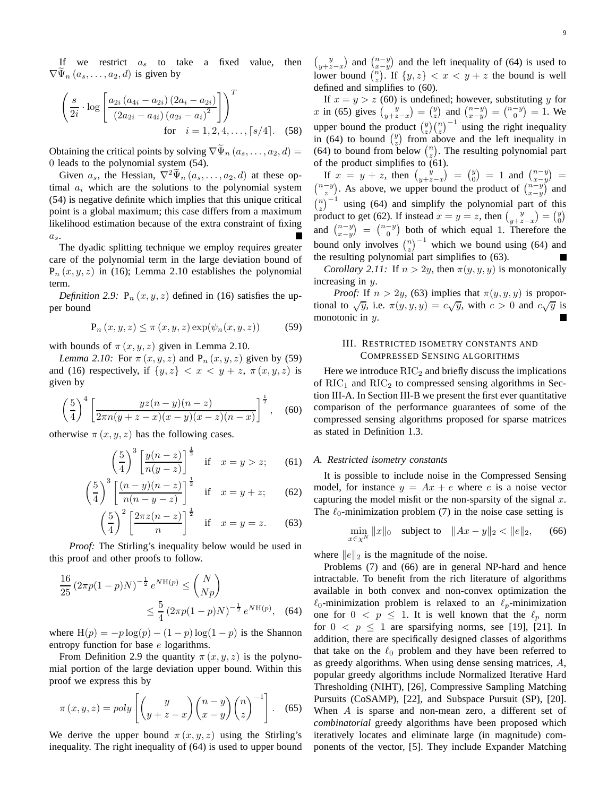If we restrict  $a_s$  to take a fixed value, then  $\nabla \Psi_n (a_s, \dots, a_2, d)$  is given by

$$
\left(\frac{s}{2i} \cdot \log \left[\frac{a_{2i} (a_{4i} - a_{2i}) (2a_i - a_{2i})}{(2a_{2i} - a_{4i}) (a_{2i} - a_i)^2}\right]\right)^T
$$
  
for  $i = 1, 2, 4, ..., [s/4]$ . (58)

Obtaining the critical points by solving  $\nabla \Psi_n (a_s, \dots, a_2, d) =$ 0 leads to the polynomial system (54).

Given  $a_s$ , the Hessian,  $\nabla^2 \tilde{\Psi}_n(a_s, \ldots, a_2, d)$  at these optimal  $a_i$  which are the solutions to the polynomial system (54) is negative definite which implies that this unique critical point is a global maximum; this case differs from a maximum likelihood estimation because of the extra constraint of fixing  $a_s$ .

The dyadic splitting technique we employ requires greater care of the polynomial term in the large deviation bound of  $P_n(x, y, z)$  in (16); Lemma 2.10 establishes the polynomial term.

*Definition 2.9:*  $P_n(x, y, z)$  defined in (16) satisfies the upper bound

$$
P_n(x, y, z) \le \pi(x, y, z) \exp(\psi_n(x, y, z)) \tag{59}
$$

with bounds of  $\pi(x, y, z)$  given in Lemma 2.10.

*Lemma 2.10:* For  $\pi(x, y, z)$  and  $P_n(x, y, z)$  given by (59) and (16) respectively, if  $\{y, z\} < x < y + z$ ,  $\pi(x, y, z)$  is given by

$$
\left(\frac{5}{4}\right)^4 \left[\frac{yz(n-y)(n-z)}{2\pi n(y+z-x)(x-y)(x-z)(n-x)}\right]^{\frac{1}{2}}, \quad (60)
$$

otherwise  $\pi(x, y, z)$  has the following cases.

$$
\left(\frac{5}{4}\right)^3 \left[\frac{y(n-z)}{n(y-z)}\right]^{\frac{1}{2}} \quad \text{if} \quad x=y>z; \qquad (61)
$$

$$
\left(\frac{5}{4}\right)^3 \left[\frac{(n-y)(n-z)}{n(n-y-z)}\right]^{\frac{1}{2}} \quad \text{if} \quad x=y+z; \qquad (62)
$$

$$
\left(\frac{5}{4}\right)^2 \left[\frac{2\pi z(n-z)}{n}\right]^{\frac{1}{2}} \quad \text{if} \quad x=y=z. \tag{63}
$$

*Proof:* The Stirling's inequality below would be used in this proof and other proofs to follow.

$$
\frac{16}{25} \left(2\pi p(1-p)N\right)^{-\frac{1}{2}} e^{N \mathcal{H}(p)} \le \binom{N}{Np} \\
\le \frac{5}{4} \left(2\pi p(1-p)N\right)^{-\frac{1}{2}} e^{N \mathcal{H}(p)}, \quad (64)
$$

where  $H(p) = -p \log(p) - (1 - p) \log(1 - p)$  is the Shannon entropy function for base e logarithms.

From Definition 2.9 the quantity  $\pi(x, y, z)$  is the polynomial portion of the large deviation upper bound. Within this proof we express this by

$$
\pi(x, y, z) = poly\left[ \binom{y}{y + z - x} \binom{n - y}{x - y} \binom{n}{z}^{-1} \right].
$$
 (65)

We derive the upper bound  $\pi(x, y, z)$  using the Stirling's inequality. The right inequality of (64) is used to upper bound

 $\left(\begin{matrix} y \\ y+z-x \end{matrix}\right)$  and  $\left(\begin{matrix} n-y \\ x-y \end{matrix}\right)$  and the left inequality of (64) is used to lower bound  $\binom{n}{z}$ . If  $\{y, z\} < x < y + z$  the bound is well defined and simplifies to (60).

If  $x = y > z$  (60) is undefined; however, substituting y for x in (65) gives  $\begin{pmatrix} y \\ y+z-x \end{pmatrix} = \begin{pmatrix} y \\ z \end{pmatrix}$  and  $\begin{pmatrix} n-y \\ x-y \end{pmatrix} = \begin{pmatrix} n-y \\ 0 \end{pmatrix} = 1$ . We upper bound the product  $\binom{y}{z} \binom{n}{z}^{-1}$  using the right inequality in (64) to bound  $\begin{pmatrix} y \\ z \end{pmatrix}$  from above and the left inequality in (64) to bound from below  $\binom{n}{z}$ . The resulting polynomial part of the product simplifies to (61).

If  $x = y + z$ , then  $\begin{pmatrix} y \\ y+z-x \end{pmatrix} = \begin{pmatrix} y \\ 0 \end{pmatrix} = 1$  and  $\begin{pmatrix} n-y \\ x-y \end{pmatrix} =$  $\binom{n-y}{z-1}$ . As above, we upper bound the product of  $\binom{n-y}{x-y}$  and  $\binom{n}{z}^{-1}$  using (64) and simplify the polynomial part of this product to get (62). If instead  $x = y = z$ , then  $\begin{pmatrix} y \\ y+z-x \end{pmatrix} = \begin{pmatrix} y \\ 0 \end{pmatrix}$ and  $\binom{n-y}{x-y} = \binom{n-y}{0}$  both of which equal 1. Therefore the bound only involves  $\binom{n}{z}^{-1}$  which we bound using (64) and the resulting polynomial part simplifies to (63).

*Corollary 2.11:* If  $n > 2y$ , then  $\pi(y, y, y)$  is monotonically increasing in  $y$ .

*Proof:* If  $n > 2y$ , (63) implies that  $\pi(y, y, y)$  is proportional to  $\sqrt{y}$ , i.e.  $\pi(y, y, y) = c\sqrt{y}$ , with  $c > 0$  and  $c\sqrt{y}$  is monotonic in  $y$ .

## III. RESTRICTED ISOMETRY CONSTANTS AND COMPRESSED SENSING ALGORITHMS

Here we introduce  $\mathrm{RIC}_2$  and briefly discuss the implications of  $\mathrm{RIC}_1$  and  $\mathrm{RIC}_2$  to compressed sensing algorithms in Section III-A. In Section III-B we present the first ever quantitative comparison of the performance guarantees of some of the compressed sensing algorithms proposed for sparse matrices as stated in Definition 1.3.

#### *A. Restricted isometry constants*

It is possible to include noise in the Compressed Sensing model, for instance  $y = Ax + e$  where e is a noise vector capturing the model misfit or the non-sparsity of the signal  $x$ . The  $\ell_0$ -minimization problem (7) in the noise case setting is

$$
\min_{x \in \chi^N} \|x\|_0 \quad \text{subject to} \quad \|Ax - y\|_2 < \|e\|_2,\tag{66}
$$

where  $||e||_2$  is the magnitude of the noise.

Problems (7) and (66) are in general NP-hard and hence intractable. To benefit from the rich literature of algorithms available in both convex and non-convex optimization the  $\ell_0$ -minimization problem is relaxed to an  $\ell_p$ -minimization one for  $0 < p \le 1$ . It is well known that the  $\ell_p$  norm for  $0 \le p \le 1$  are sparsifying norms, see [19], [21]. In addition, there are specifically designed classes of algorithms that take on the  $\ell_0$  problem and they have been referred to as greedy algorithms. When using dense sensing matrices, A, popular greedy algorithms include Normalized Iterative Hard Thresholding (NIHT), [26], Compressive Sampling Matching Pursuits (CoSAMP), [22], and Subspace Pursuit (SP), [20]. When  $A$  is sparse and non-mean zero, a different set of *combinatorial* greedy algorithms have been proposed which iteratively locates and eliminate large (in magnitude) components of the vector, [5]. They include Expander Matching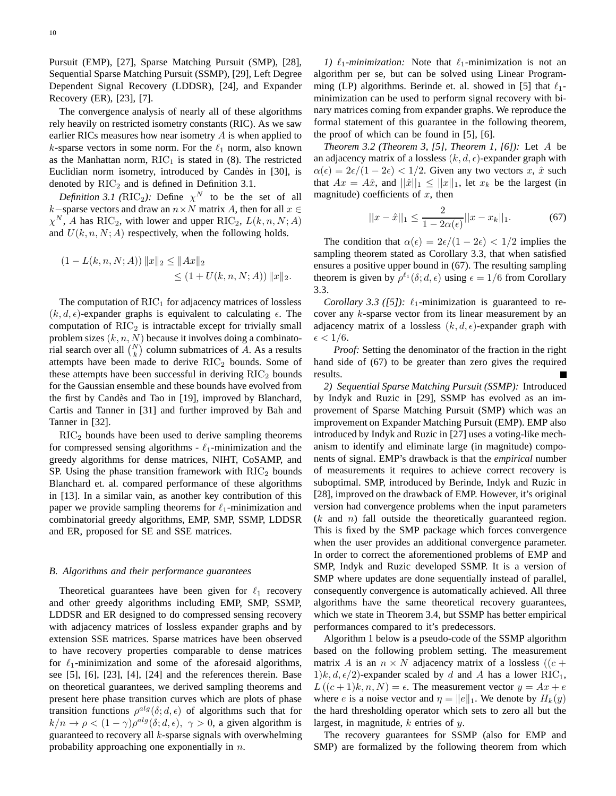Pursuit (EMP), [27], Sparse Matching Pursuit (SMP), [28], Sequential Sparse Matching Pursuit (SSMP), [29], Left Degree Dependent Signal Recovery (LDDSR), [24], and Expander Recovery (ER), [23], [7].

The convergence analysis of nearly all of these algorithms rely heavily on restricted isometry constants (RIC). As we saw earlier RICs measures how near isometry A is when applied to k-sparse vectors in some norm. For the  $\ell_1$  norm, also known as the Manhattan norm,  $RIC<sub>1</sub>$  is stated in (8). The restricted Euclidian norm isometry, introduced by Candès in [30], is denoted by  $RIC<sub>2</sub>$  and is defined in Definition 3.1.

*Definition 3.1 (RIC<sub>2</sub>):* Define  $\chi^N$  to be the set of all k–sparse vectors and draw an  $n \times N$  matrix A, then for all  $x \in$  $\chi^N$ , A has RIC<sub>2</sub>, with lower and upper RIC<sub>2</sub>,  $L(k, n, N; A)$ and  $U(k, n, N; A)$  respectively, when the following holds.

$$
(1 - L(k, n, N; A)) ||x||_2 \le ||Ax||_2
$$
  
 
$$
\le (1 + U(k, n, N; A)) ||x||_2.
$$

The computation of  $\mathrm{RIC}_1$  for adjacency matrices of lossless  $(k, d, \epsilon)$ -expander graphs is equivalent to calculating  $\epsilon$ . The computation of  $RIC<sub>2</sub>$  is intractable except for trivially small problem sizes  $(k, n, N)$  because it involves doing a combinatorial search over all  $\binom{N}{k}$  column submatrices of A. As a results attempts have been made to derive  $\mathrm{RIC}_2$  bounds. Some of these attempts have been successful in deriving  $RIC<sub>2</sub>$  bounds for the Gaussian ensemble and these bounds have evolved from the first by Candès and Tao in [19], improved by Blanchard, Cartis and Tanner in [31] and further improved by Bah and Tanner in [32].

RIC<sup>2</sup> bounds have been used to derive sampling theorems for compressed sensing algorithms -  $\ell_1$ -minimization and the greedy algorithms for dense matrices, NIHT, CoSAMP, and SP. Using the phase transition framework with  $RIC<sub>2</sub>$  bounds Blanchard et. al. compared performance of these algorithms in [13]. In a similar vain, as another key contribution of this paper we provide sampling theorems for  $\ell_1$ -minimization and combinatorial greedy algorithms, EMP, SMP, SSMP, LDDSR and ER, proposed for SE and SSE matrices.

## *B. Algorithms and their performance guarantees*

Theoretical guarantees have been given for  $\ell_1$  recovery and other greedy algorithms including EMP, SMP, SSMP, LDDSR and ER designed to do compressed sensing recovery with adjacency matrices of lossless expander graphs and by extension SSE matrices. Sparse matrices have been observed to have recovery properties comparable to dense matrices for  $\ell_1$ -minimization and some of the aforesaid algorithms, see [5], [6], [23], [4], [24] and the references therein. Base on theoretical guarantees, we derived sampling theorems and present here phase transition curves which are plots of phase transition functions  $\rho^{alg}(\delta; d, \epsilon)$  of algorithms such that for  $k/n \to \rho < (1 - \gamma)\rho^{alg}(\delta; d, \epsilon), \gamma > 0$ , a given algorithm is guaranteed to recovery all  $k$ -sparse signals with overwhelming probability approaching one exponentially in  $n$ .

*1)*  $\ell_1$ *-minimization:* Note that  $\ell_1$ -minimization is not an algorithm per se, but can be solved using Linear Programming (LP) algorithms. Berinde et. al. showed in [5] that  $\ell_1$ minimization can be used to perform signal recovery with binary matrices coming from expander graphs. We reproduce the formal statement of this guarantee in the following theorem, the proof of which can be found in [5], [6].

*Theorem 3.2 (Theorem 3, [5], Theorem 1, [6]):* Let A be an adjacency matrix of a lossless  $(k, d, \epsilon)$ -expander graph with  $\alpha(\epsilon) = 2\epsilon/(1 - 2\epsilon) < 1/2$ . Given any two vectors x,  $\hat{x}$  such that  $Ax = A\hat{x}$ , and  $||\hat{x}||_1 \leq ||x||_1$ , let  $x_k$  be the largest (in magnitude) coefficients of  $x$ , then

$$
||x - \hat{x}||_1 \le \frac{2}{1 - 2\alpha(\epsilon)}||x - x_k||_1.
$$
 (67)

The condition that  $\alpha(\epsilon) = 2\epsilon/(1 - 2\epsilon) < 1/2$  implies the sampling theorem stated as Corollary 3.3, that when satisfied ensures a positive upper bound in (67). The resulting sampling theorem is given by  $\rho^{\ell_1}(\delta; d, \epsilon)$  using  $\epsilon = 1/6$  from Corollary 3.3.

*Corollary 3.3 ([5]):*  $\ell_1$ -minimization is guaranteed to recover any k-sparse vector from its linear measurement by an adjacency matrix of a lossless  $(k, d, \epsilon)$ -expander graph with  $\epsilon < 1/6$ .

*Proof:* Setting the denominator of the fraction in the right hand side of (67) to be greater than zero gives the required results.

*2) Sequential Sparse Matching Pursuit (SSMP):* Introduced by Indyk and Ruzic in [29], SSMP has evolved as an improvement of Sparse Matching Pursuit (SMP) which was an improvement on Expander Matching Pursuit (EMP). EMP also introduced by Indyk and Ruzic in [27] uses a voting-like mechanism to identify and eliminate large (in magnitude) components of signal. EMP's drawback is that the *empirical* number of measurements it requires to achieve correct recovery is suboptimal. SMP, introduced by Berinde, Indyk and Ruzic in [28], improved on the drawback of EMP. However, it's original version had convergence problems when the input parameters  $(k \text{ and } n)$  fall outside the theoretically guaranteed region. This is fixed by the SMP package which forces convergence when the user provides an additional convergence parameter. In order to correct the aforementioned problems of EMP and SMP, Indyk and Ruzic developed SSMP. It is a version of SMP where updates are done sequentially instead of parallel, consequently convergence is automatically achieved. All three algorithms have the same theoretical recovery guarantees, which we state in Theorem 3.4, but SSMP has better empirical performances compared to it's predecessors.

Algorithm 1 below is a pseudo-code of the SSMP algorithm based on the following problem setting. The measurement matrix A is an  $n \times N$  adjacency matrix of a lossless ((c +  $1/k, d, \epsilon/2$ -expander scaled by d and A has a lower RIC<sub>1</sub>,  $L((c+1)k, n, N) = \epsilon$ . The measurement vector  $y = Ax + e$ where *e* is a noise vector and  $\eta = ||e||_1$ . We denote by  $H_k(y)$ the hard thresholding operator which sets to zero all but the largest, in magnitude,  $k$  entries of  $y$ .

The recovery guarantees for SSMP (also for EMP and SMP) are formalized by the following theorem from which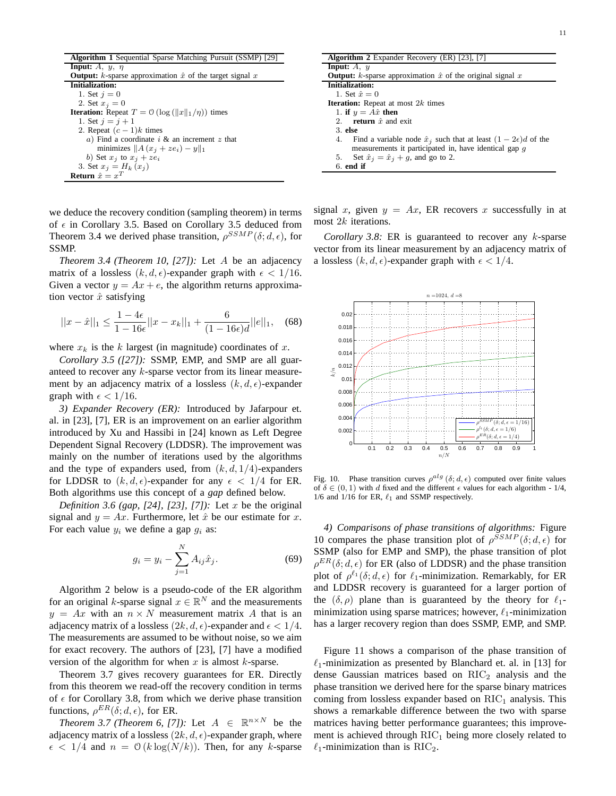**Algorithm 1** Sequential Sparse Matching Pursuit (SSMP) [29] **Input:**  $A$ ,  $y$ ,  $\eta$ **Output:** k-sparse approximation  $\hat{x}$  of the target signal  $x$ **Initialization:** 1. Set  $j = 0$ 2. Set  $x_j = 0$ **Iteration:** Repeat  $T = 0$  (log  $(\Vert x \Vert_1/\eta)$ ) times 1. Set  $j = j + 1$ 2. Repeat  $(c - 1)k$  times a) Find a coordinate  $i \&$  an increment  $z$  that minimizes  $||A (x_i + ze_i) - y||_1$ b) Set  $x_j$  to  $x_j + ze_i$ 3. Set  $x_j = H_k(x_j)$ **Return**  $\hat{x} = x^T$ 

we deduce the recovery condition (sampling theorem) in terms of  $\epsilon$  in Corollary 3.5. Based on Corollary 3.5 deduced from Theorem 3.4 we derived phase transition,  $\rho^{SSMP}(\delta; d, \epsilon)$ , for SSMP.

*Theorem 3.4 (Theorem 10, [27]):* Let A be an adjacency matrix of a lossless  $(k, d, \epsilon)$ -expander graph with  $\epsilon < 1/16$ . Given a vector  $y = Ax + e$ , the algorithm returns approximation vector  $\hat{x}$  satisfying

$$
||x - \hat{x}||_1 \le \frac{1 - 4\epsilon}{1 - 16\epsilon} ||x - x_k||_1 + \frac{6}{(1 - 16\epsilon)d} ||e||_1, \quad (68)
$$

where  $x_k$  is the k largest (in magnitude) coordinates of x.

*Corollary 3.5 ([27]):* SSMP, EMP, and SMP are all guaranteed to recover any k-sparse vector from its linear measurement by an adjacency matrix of a lossless  $(k, d, \epsilon)$ -expander graph with  $\epsilon < 1/16$ .

*3) Expander Recovery (ER):* Introduced by Jafarpour et. al. in [23], [7], ER is an improvement on an earlier algorithm introduced by Xu and Hassibi in [24] known as Left Degree Dependent Signal Recovery (LDDSR). The improvement was mainly on the number of iterations used by the algorithms and the type of expanders used, from  $(k, d, 1/4)$ -expanders for LDDSR to  $(k, d, \epsilon)$ -expander for any  $\epsilon < 1/4$  for ER. Both algorithms use this concept of a *gap* defined below.

*Definition 3.6 (gap, [24], [23], [7]):* Let x be the original signal and  $y = Ax$ . Furthermore, let  $\hat{x}$  be our estimate for x. For each value  $y_i$  we define a gap  $g_i$  as:

$$
g_i = y_i - \sum_{j=1}^{N} A_{ij} \hat{x}_j.
$$
 (69)

Algorithm 2 below is a pseudo-code of the ER algorithm for an original k-sparse signal  $x \in \mathbb{R}^N$  and the measurements  $y = Ax$  with an  $n \times N$  measurement matrix A that is an adjacency matrix of a lossless  $(2k, d, \epsilon)$ -expander and  $\epsilon < 1/4$ . The measurements are assumed to be without noise, so we aim for exact recovery. The authors of [23], [7] have a modified version of the algorithm for when  $x$  is almost  $k$ -sparse.

Theorem 3.7 gives recovery guarantees for ER. Directly from this theorem we read-off the recovery condition in terms of  $\epsilon$  for Corollary 3.8, from which we derive phase transition functions,  $\rho^{ER}(\delta; d, \epsilon)$ , for ER.

*Theorem 3.7 (Theorem 6, [7]):* Let  $A \in \mathbb{R}^{n \times N}$  be the adjacency matrix of a lossless  $(2k, d, \epsilon)$ -expander graph, where  $\epsilon$  < 1/4 and  $n = \mathcal{O}(k \log(N/k))$ . Then, for any k-sparse

| <b>Algorithm 2</b> Expander Recovery (ER) [23], [7]                                 |
|-------------------------------------------------------------------------------------|
| <b>Input:</b> $A$ , $y$                                                             |
| <b>Output:</b> k-sparse approximation $\hat{x}$ of the original signal x            |
| <b>Initialization:</b>                                                              |
| 1. Set $\hat{x} = 0$                                                                |
| <b>Iteration:</b> Repeat at most $2k$ times                                         |
| 1. if $y = A\hat{x}$ then                                                           |
| <b>return</b> $\hat{x}$ and exit<br>$2^{\circ}$                                     |
| $3.$ else                                                                           |
| Find a variable node $\hat{x}_j$ such that at least $(1 - 2\epsilon)d$ of the<br>4. |
| measurements it participated in, have identical gap q                               |
| Set $\hat{x}_i = \hat{x}_i + g$ , and go to 2.<br>5.                                |
| $6.$ end if                                                                         |

signal x, given  $y = Ax$ , ER recovers x successfully in at most 2k iterations.

*Corollary 3.8:* ER is guaranteed to recover any k-sparse vector from its linear measurement by an adjacency matrix of a lossless  $(k, d, \epsilon)$ -expander graph with  $\epsilon < 1/4$ .



Fig. 10. Phase transition curves  $\rho^{alg}$  ( $\delta; d, \epsilon$ ) computed over finite values of  $\delta \in (0, 1)$  with d fixed and the different  $\epsilon$  values for each algorithm - 1/4, 1/6 and 1/16 for ER,  $\ell_1$  and SSMP respectively.

*4) Comparisons of phase transitions of algorithms:* Figure 10 compares the phase transition plot of  $\rho^{SSMP}(\delta; d, \epsilon)$  for SSMP (also for EMP and SMP), the phase transition of plot  $\rho^{ER}(\delta; d, \epsilon)$  for ER (also of LDDSR) and the phase transition plot of  $\rho^{\ell_1}(\delta; d, \epsilon)$  for  $\ell_1$ -minimization. Remarkably, for ER and LDDSR recovery is guaranteed for a larger portion of the  $(\delta, \rho)$  plane than is guaranteed by the theory for  $\ell_1$ minimization using sparse matrices; however,  $\ell_1$ -minimization has a larger recovery region than does SSMP, EMP, and SMP.

Figure 11 shows a comparison of the phase transition of  $\ell_1$ -minimization as presented by Blanchard et. al. in [13] for dense Gaussian matrices based on  $\mathrm{RIC}_2$  analysis and the phase transition we derived here for the sparse binary matrices coming from lossless expander based on  $RIC_1$  analysis. This shows a remarkable difference between the two with sparse matrices having better performance guarantees; this improvement is achieved through  $\mathrm{RIC}_1$  being more closely related to  $\ell_1$ -minimization than is RIC<sub>2</sub>.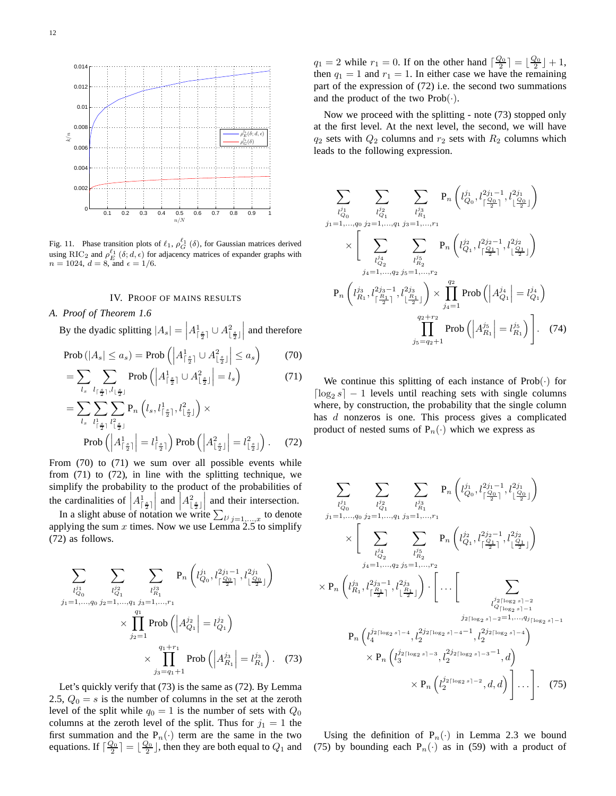

Fig. 11. Phase transition plots of  $\ell_1$ ,  $\rho_G^{\ell_1}(\delta)$ , for Gaussian matrices derived using RIC<sub>2</sub> and  $\rho_E^{\ell_1}(\delta; d, \epsilon)$  for adjacency matrices of expander graphs with  $n = 1024, d = 8,$  and  $\epsilon = 1/6$ .

## IV. PROOF OF MAINS RESULTS

## *A. Proof of Theorem 1.6*

By the dyadic splitting  $|A_s| = \left| A_{\lceil \frac{s}{2} \rceil}^1 \cup A_{\lfloor \frac{s}{2} \rfloor}^2 \right|$    and therefore

$$
\text{Prob}\left(|A_s| \le a_s\right) = \text{Prob}\left(\left|A_{\lceil \frac{s}{2} \rceil}^1 \cup A_{\lfloor \frac{s}{2} \rfloor}^2\right| \le a_s\right) \tag{70}
$$
\n
$$
-\sum_{n=1}^{\infty} \sum_{k=1}^{\infty} \text{Prob}\left(\left|A_{\lfloor \frac{s}{2} \rfloor}^1 + \left|A_{\lfloor \frac{s}{2} \rfloor}^2\right| - 1\right) \tag{71}
$$

$$
= \sum_{l_s} \sum_{l_{\lceil \frac{s}{2} \rceil}, l_{\lfloor \frac{s}{2} \rfloor}} \operatorname{Prob}\left( \left| A^1_{\lceil \frac{s}{2} \rceil} \cup A^2_{\lfloor \frac{s}{2} \rfloor} \right| = l_s \right) \tag{71}
$$

$$
= \sum_{l_s} \sum_{l_{\lceil \frac{s}{2} \rceil}} \sum_{l_{\lceil \frac{s}{2} \rceil}^2} P_n \left( l_s, l_{\lceil \frac{s}{2} \rceil}^1, l_{\lceil \frac{s}{2} \rceil}^2 \right) \times
$$
  
Prob  $\left( \left| A_{\lceil \frac{s}{2} \rceil}^1 \right| = l_{\lceil \frac{s}{2} \rceil}^1 \right)$  Prob  $\left( \left| A_{\lceil \frac{s}{2} \rceil}^2 \right| = l_{\lceil \frac{s}{2} \rceil}^2 \right)$ . (72)

From (70) to (71) we sum over all possible events while from (71) to (72), in line with the splitting technique, we simplify the probability to the product of the probabilities of the cardinalities of  $\left| A^1_{\lceil \frac{s}{2} \rceil} \right|$ | and  $A_{\lfloor \frac{s}{2} \rfloor}^2$ and their intersection.

In a slight abuse of notation we write  $\sum_{l^j} j = 1, ..., x$  to denote applying the sum  $x$  times. Now we use Lemma 2.5 to simplify (72) as follows.

$$
\sum_{\substack{l_{Q_0}^{j_1} \ j_1 = 1, \dots, q_0 \ j_2 = 1, \dots, q_1 \ j_3 = 1, \dots, r_1}} \sum_{\substack{l_{Q_1}^{j_2} \ j_1 = 1, \dots, q_1 \ j_2 = 1}} \Pr_{l_{R_1}^{j_1} \left( \left\lfloor \frac{j_1}{j_0} \right\rfloor, \left\lfloor \frac{j_2}{j_1} \right\rfloor, \left\lfloor \frac{j_2}{j_2} \right\rfloor \right)} \times \prod_{j_2 = 1}^{q_1 + r_1} \text{Prob}\left(\left| A_{R_1}^{j_2} \right| = l_{R_1}^{j_2}\right) \times \prod_{j_3 = q_1 + 1}^{q_1 + r_1} \text{Prob}\left(\left| A_{R_1}^{j_3} \right| = l_{R_1}^{j_3}\right). \tag{73}
$$

Let's quickly verify that (73) is the same as (72). By Lemma 2.5,  $Q_0 = s$  is the number of columns in the set at the zeroth level of the split while  $q_0 = 1$  is the number of sets with  $Q_0$ columns at the zeroth level of the split. Thus for  $j_1 = 1$  the first summation and the  $P_n(\cdot)$  term are the same in the two equations. If  $\lceil \frac{Q_0}{2} \rceil = \lfloor \frac{Q_0}{2} \rfloor$ , then they are both equal to  $Q_1$  and

 $q_1 = 2$  while  $r_1 = 0$ . If on the other hand  $\lceil \frac{Q_0}{2} \rceil = \lfloor \frac{Q_0}{2} \rfloor + 1$ , then  $q_1 = 1$  and  $r_1 = 1$ . In either case we have the remaining part of the expression of (72) i.e. the second two summations and the product of the two  $Prob(\cdot)$ .

Now we proceed with the splitting - note (73) stopped only at the first level. At the next level, the second, we will have  $q_2$  sets with  $Q_2$  columns and  $r_2$  sets with  $R_2$  columns which leads to the following expression.

$$
\sum_{\substack{l_{Q_0}^{j_1} \ j_1 = 1,\ldots,q_0}} \sum_{\substack{l_{Q_1}^{j_2} \ j_2 = 1,\ldots,q_1}} \sum_{\substack{l_{R_1}^{j_3} \ j_3 = 1,\ldots,r_1}} P_n \left( l_{Q_0}^{j_1} , l_{\lfloor \frac{Q_0}{2} \rfloor}^{2j_1-1} , l_{\lfloor \frac{Q_0}{2} \rfloor}^{2j_1} \right)
$$
\n
$$
\times \left[ \sum_{\substack{l_{Q_2}^{j_4} \ j_3 = 1,\ldots,q_2}} \sum_{\substack{l_{R_2}^{j_5} \ j_4 = 1,\ldots,r_2}} P_n \left( l_{Q_1}^{j_2} , l_{\lceil \frac{Q_1}{2} \rceil}^{2j_2-1} , l_{\lfloor \frac{Q_1}{2} \rfloor}^{2j_2} \right) \right)
$$
\n
$$
P_n \left( l_{R_1}^{j_3} , l_{\lceil \frac{R_1}{2} \rceil}^{2j_3-1} , l_{\lfloor \frac{R_1}{2} \rfloor}^{2j_3} \right) \times \prod_{j_4=1}^{q_2} \text{Prob} \left( \left| A_{Q_1}^{j_4} \right| = l_{Q_1}^{j_4} \right)
$$
\n
$$
\prod_{j_5=q_2+1}^{q_2+r_2} \text{Prob} \left( \left| A_{R_1}^{j_5} \right| = l_{R_1}^{j_5} \right) \right]. \quad (74)
$$

We continue this splitting of each instance of  $Prob(\cdot)$  for  $\lceil \log_2 s \rceil - 1$  levels until reaching sets with single columns where, by construction, the probability that the single column has d nonzeros is one. This process gives a complicated product of nested sums of  $P_n(\cdot)$  which we express as

$$
\sum_{\substack{l_{Q_0}^{j_1} \\ j_1 = 1, \ldots, q_0}} \sum_{\substack{j_2^{j_2} \\ j_2 = 1, \ldots, q_1}} \sum_{\substack{l_{Q_1}^{j_3} \\ j_3 = 1, \ldots, r_1}} P_n \left( l_{Q_0}^{j_1} l_{\left[\frac{Q_0}{2}\right]}^{2j_1 - 1}, l_{\left[\frac{Q_0}{2}\right]}^{2j_1} \right)
$$
\n
$$
\times \left[ \sum_{\substack{l_{Q_2}^{j_4} \\ j_4 = 1, \ldots, q_2 \ j_5 = 1, \ldots, r_2}} \sum_{\substack{l_{Q_2}^{j_5} \\ j_5 = 1, \ldots, r_2}} P_n \left( l_{Q_1}^{j_2} l_{\left[\frac{Q_1}{2}\right]}^{2j_2 - 1}, l_{\left[\frac{Q_1}{2}\right]}^{2j_2} \right)
$$
\n
$$
\times P_n \left( l_{R_1}^{j_3} l_{\left[\frac{R_1}{2}\right]}^{2j_3 - 1}, l_{\left[\frac{R_1}{2}\right]}^{2j_3} \right) \cdot \left[ \ldots \left[ \sum_{\substack{l_{Q}^{j_2} \lceil \log_2 s \rceil - 2}} \sum_{\substack{j_2 \lceil \log_2 s \rceil - 2}} \sum_{\substack{j_2 \lceil \log_2 s \rceil - 2}} \sum_{\substack{j_2 \lceil \log_2 s \rceil - 4}} \sum_{\substack{j_2 \lceil \log_2 s \rceil - 4}} \sum_{\substack{j_2 \lceil \log_2 s \rceil - 4}} \sum_{\substack{j_2 \lceil \log_2 s \rceil - 4}} \sum_{\substack{j_2 \lceil \log_2 s \rceil - 4}} \sum_{\substack{j_2 \lceil \log_2 s \rceil - 4}} \sum_{\substack{j_2 \lceil \log_2 s \rceil - 4}} \sum_{\substack{j_2 \lceil \log_2 s \rceil - 4}} \sum_{\substack{j_2 \lceil \log_2 s \rceil - 4}} \sum_{\substack{j_2 \lceil \log_2 s \rceil - 4}} \sum_{\substack{j_2 \lceil \log_2 s \rceil - 4}} \sum_{\substack{j_2 \lceil \log_
$$

Using the definition of  $P_n(\cdot)$  in Lemma 2.3 we bound (75) by bounding each  $P_n(\cdot)$  as in (59) with a product of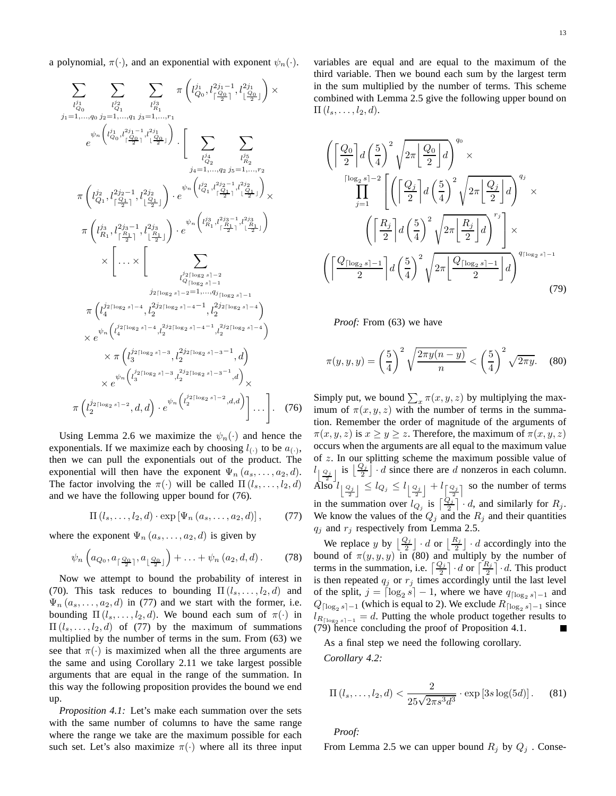a polynomial,  $\pi(\cdot)$ , and an exponential with exponent  $\psi_n(\cdot)$ .

$$
\sum_{\substack{l_{Q_0}^{j_1} \\ l_1=1,\ldots,q_0}} \sum_{\substack{l_{Q_1}^{j_2} \\ l_2=1,\ldots,q_1}} \sum_{\substack{l_{Q_1}^{j_2} \\ l_1=1,\ldots,q_1}} \pi\left(l_{Q_0}^{j_1} \cdot \frac{2j_1-1}{2},l_{\lfloor \frac{Q_0}{2} \rfloor}^{2j_1} \right) \times \ne^{\psi_n} \left(\binom{j_1}{Q_0} \cdot \frac{2j_1-1}{2} \cdot \frac{2j_1}{2} \right) \cdot \left[ \sum_{\substack{l_{Q_2}^{j_4} \\ l_2=1,\ldots,q_2}} \sum_{\substack{j_5=1,\ldots,r_2 \\ j_4=1,\ldots,q_2}} \sum_{\substack{l_{Q_5}^{j_5} \\ l_1=1,\ldots,q_2}} \sum_{\substack{l_{Q_2}^{j_5} \\ l_2=1,\ldots,r_2}} \pi\left(l_{Q_1}^{j_2},l_{\lfloor \frac{Q_1-1}{2} \rfloor}^{2j_2-1},l_{\lfloor \frac{Q_1-1}{2} \rfloor}^{2j_2} \right) \cdot e^{\psi_n \left(\binom{j_2}{Q_1} \cdot \frac{2j_2-1}{2} \cdot \binom{2j_2}{2} \right)} \times \pi\left(\binom{j_3}{R_1} \cdot \frac{2j_3-1}{\lceil \frac{R_1}{2} \rceil},l_{\lfloor \frac{R_1}{2} \rfloor}^{2j_3} \right) \cdot e^{\psi_n \left(\binom{j_3}{R_1} \cdot \frac{2j_3-1}{\lceil \frac{R_1}{2} \rceil},l_{\lfloor \frac{R_1}{2} \rfloor}^{2j_3} \right)} \times \left[ \ldots \times \left[ \sum_{\substack{j_2 \mid \log_2 s \mid -2}} \sum_{\substack{l_2 \mid \log_2 s \mid -2}} \sum_{\substack{l_2 \mid \log_2 s \mid -1}} \sum_{\substack{l_2 \mid \log_2 s \mid -1}} \sum_{\substack{l_2 \mid \log_2 s \mid -1}} \sum_{\substack{l_2 \mid \log_2 s \mid -1}} \sum_{\substack{l_2 \mid \log_2 s \mid -1}} \sum_{\sub
$$

Using Lemma 2.6 we maximize the  $\psi_n(\cdot)$  and hence the exponentials. If we maximize each by choosing  $l_{(\cdot)}$  to be  $a_{(\cdot)}$ , then we can pull the exponentials out of the product. The exponential will then have the exponent  $\Psi_n(a_s, \ldots, a_2, d)$ . The factor involving the  $\pi(\cdot)$  will be called  $\Pi(l_1, \ldots, l_2, d)$ and we have the following upper bound for (76).

$$
\Pi(l_s,\ldots,l_2,d)\cdot \exp\left[\Psi_n\left(a_s,\ldots,a_2,d\right)\right],\qquad(77)
$$

where the exponent  $\Psi_n(a_s, \ldots, a_2, d)$  is given by

$$
\psi_n\left(a_{Q_0}, a_{\lceil \frac{Q_0}{2} \rceil}, a_{\lfloor \frac{Q_0}{2} \rfloor}\right) + \ldots + \psi_n(a_2, d, d).
$$
 (78)

Now we attempt to bound the probability of interest in (70). This task reduces to bounding  $\Pi(l_s, \ldots, l_2, d)$  and  $\Psi_n(a_s, \ldots, a_2, d)$  in (77) and we start with the former, i.e. bounding  $\Pi$  (l<sub>s</sub>, ..., l<sub>2</sub>, d). We bound each sum of  $\pi(\cdot)$  in  $\Pi(l_s, \ldots, l_2, d)$  of (77) by the maximum of summations multiplied by the number of terms in the sum. From (63) we see that  $\pi(\cdot)$  is maximized when all the three arguments are the same and using Corollary 2.11 we take largest possible arguments that are equal in the range of the summation. In this way the following proposition provides the bound we end up.

*Proposition 4.1:* Let's make each summation over the sets with the same number of columns to have the same range where the range we take are the maximum possible for each such set. Let's also maximize  $\pi(\cdot)$  where all its three input variables are equal and are equal to the maximum of the third variable. Then we bound each sum by the largest term in the sum multiplied by the number of terms. This scheme combined with Lemma 2.5 give the following upper bound on  $\Pi$   $(l_s, \ldots, l_2, d)$ .

$$
\left( \left\lceil \frac{Q_0}{2} \right\rceil d \left( \frac{5}{4} \right)^2 \sqrt{2\pi \left\lfloor \frac{Q_0}{2} \right\rfloor d} \right)^{q_0} \times \frac{\prod_{j=1}^{\lceil \log_2 s \rceil - 2} \left[ \left( \left\lceil \frac{Q_j}{2} \right\rceil d \left( \frac{5}{4} \right)^2 \sqrt{2\pi \left\lfloor \frac{Q_j}{2} \right\rfloor d} \right)^{q_j} \times \frac{\left( \left\lceil \frac{R_j}{2} \right\rceil d \left( \frac{5}{4} \right)^2 \sqrt{2\pi \left\lfloor \frac{R_j}{2} \right\rfloor d} \right)^{r_j} \right] \times \left( \left\lceil \frac{Q_{\lceil \log_2 s \rceil - 1}}{2} \right\rceil d \left( \frac{5}{4} \right)^2 \sqrt{2\pi \left\lfloor \frac{Q_{\lceil \log_2 s \rceil - 1}}{2} \right\rfloor d} \right)^{q_{\lceil \log_2 s \rceil - 1}} \right)
$$
\n(79)

*Proof:* From (63) we have

$$
\pi(y,y,y) = \left(\frac{5}{4}\right)^2 \sqrt{\frac{2\pi y(n-y)}{n}} < \left(\frac{5}{4}\right)^2 \sqrt{2\pi y}.\tag{80}
$$

Simply put, we bound  $\sum_{x} \pi(x, y, z)$  by multiplying the maximum of  $\pi(x, y, z)$  with the number of terms in the summation. Remember the order of magnitude of the arguments of  $\pi(x, y, z)$  is  $x \ge y \ge z$ . Therefore, the maximum of  $\pi(x, y, z)$ occurs when the arguments are all equal to the maximum value of z. In our splitting scheme the maximum possible value of  $\left[\frac{Q_j}{2}\right]$  is  $\left[\frac{Q_j}{2}\right] \cdot d$  since there are d nonzeros in each column. Also  $l_{\left\lfloor \frac{Q_j}{2} \right\rfloor} \leq l_{Q_j} \leq l_{\left\lfloor \frac{Q_j}{2} \right\rfloor} + l_{\left\lfloor \frac{Q_j}{2} \right\rfloor}$  so the number of terms in the summation over  $l_{Q_j}$  is  $\left\lceil \frac{Q_j}{2} \right\rceil \cdot d$ , and similarly for  $R_j$ . We know the values of the  $Q_j$  and the  $R_j$  and their quantities  $q_j$  and  $r_j$  respectively from Lemma 2.5.

We replace y by  $\lfloor \frac{Q_j}{2} \rfloor \cdot d$  or  $\lfloor \frac{R_j}{2} \rfloor \cdot d$  accordingly into the bound of  $\pi(y, y, y)$  in (80) and multiply by the number of terms in the summation, i.e.  $\left\lceil \frac{Q_j}{2} \right\rceil \cdot d$  or  $\left\lceil \frac{R_j}{2} \right\rceil \cdot d$ . This product is then repeated  $q_j$  or  $r_j$  times accordingly until the last level of the split,  $j = \lceil \log_2 s \rceil - 1$ , where we have  $q_{\lceil \log_2 s \rceil - 1}$  and  $Q_{\lceil \log_2 s \rceil - 1}$  (which is equal to 2). We exclude  $R_{\lceil \log_2 s \rceil - 1}$  since  $l_{R_{\lceil \log_2 s \rceil - 1}} = d$ . Putting the whole product together results to (79) hence concluding the proof of Proposition 4.1.

As a final step we need the following corollary. *Corollary 4.2:*

$$
\Pi(l_s, \dots, l_2, d) < \frac{2}{25\sqrt{2\pi s^3 d^3}} \cdot \exp\left[3s \log(5d)\right]. \tag{81}
$$

*Proof:*

From Lemma 2.5 we can upper bound  $R_i$  by  $Q_i$ . Conse-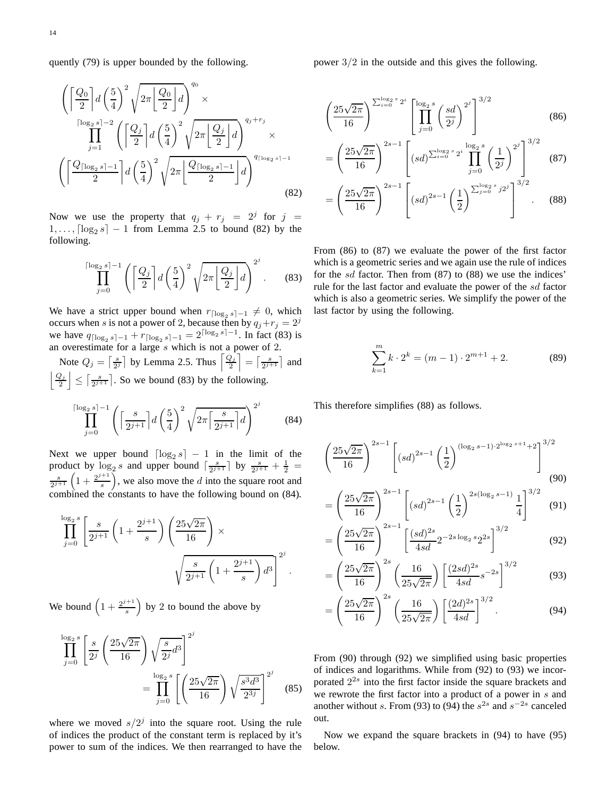quently (79) is upper bounded by the following.

$$
\left(\left[\frac{Q_0}{2}\right]d\left(\frac{5}{4}\right)^2\sqrt{2\pi\left[\frac{Q_0}{2}\right]}d\right)^{q_0}\times
$$
\n
$$
\prod_{j=1}^{\lceil\log_2 s\rceil-2}\left(\left[\frac{Q_j}{2}\right]d\left(\frac{5}{4}\right)^2\sqrt{2\pi\left[\frac{Q_j}{2}\right]}d\right)^{q_j+r_j}\times
$$
\n
$$
\left(\left[\frac{Q_{\lceil\log_2 s\rceil-1}}{2}\right]d\left(\frac{5}{4}\right)^2\sqrt{2\pi\left[\frac{Q_{\lceil\log_2 s\rceil-1}}{2}\right]}d\right)^{q_{\lceil\log_2 s\rceil-1}}
$$
\n
$$
(82)
$$

Now we use the property that  $q_j + r_j = 2^j$  for  $j =$  $1, \ldots, \lceil \log_2 s \rceil - 1$  from Lemma 2.5 to bound (82) by the following.

$$
\prod_{j=0}^{\lceil \log_2 s \rceil - 1} \left( \left\lceil \frac{Q_j}{2} \right\rceil d \left( \frac{5}{4} \right)^2 \sqrt{2\pi \left\lfloor \frac{Q_j}{2} \right\rfloor d} \right)^{2^j} . \tag{83}
$$

We have a strict upper bound when  $r_{\lceil \log_2 s \rceil - 1} \neq 0$ , which occurs when s is not a power of 2, because then by  $q_j + r_j = 2^j$ we have  $q_{\lceil \log_2 s \rceil - 1} + r_{\lceil \log_2 s \rceil - 1} = 2^{\lceil \log_2 s \rceil - 1}$ . In fact (83) is an overestimate for a large  $s$  which is not a power of 2.

Note  $Q_j = \left\lceil \frac{s}{2^j} \right\rceil$  by Lemma 2.5. Thus  $\left\lceil \frac{Q_j}{2} \right\rceil$ 2  $\left[\frac{s}{2^{j+1}}\right]$  and  $|Q_j|$ 2  $\overline{a}$  $\leq \left\lceil \frac{s}{2^{j+1}} \right\rceil$ . So we bound (83) by the following.

$$
\prod_{j=0}^{\lceil \log_2 s \rceil - 1} \left( \left\lceil \frac{s}{2^{j+1}} \right\rceil d \left( \frac{5}{4} \right)^2 \sqrt{2\pi \left\lceil \frac{s}{2^{j+1}} \right\rceil d} \right)^{2^j} \tag{84}
$$

Next we upper bound  $\lceil \log_2 s \rceil - 1$  in the limit of the product by  $\log_2 s$  and upper bound  $\left[\frac{s}{2^{j+1}}\right]$  by  $\frac{s}{2^{j+1}} + \frac{1}{2}$  $rac{s}{2^{j+1}}\left(1+\frac{2^{j+1}}{s}\right)$ s  $\int$ , we also move the *d* into the square root and combined the constants to have the following bound on (84).

$$
\prod_{j=0}^{\log_2 s} \left[ \frac{s}{2^{j+1}} \left( 1 + \frac{2^{j+1}}{s} \right) \left( \frac{25\sqrt{2\pi}}{16} \right) \times \sqrt{\frac{s}{2^{j+1}} \left( 1 + \frac{2^{j+1}}{s} \right) d^3} \right]^{2^j}.
$$

We bound  $\left(1+\frac{2^{j+1}}{s}\right)$ s  $\big)$  by 2 to bound the above by

$$
\prod_{j=0}^{\log_2 s} \left[ \frac{s}{2^j} \left( \frac{25\sqrt{2\pi}}{16} \right) \sqrt{\frac{s}{2^j} d^3} \right]^{2^j} = \prod_{j=0}^{\log_2 s} \left[ \left( \frac{25\sqrt{2\pi}}{16} \right) \sqrt{\frac{s^3 d^3}{2^{3j}}} \right]^{2^j}
$$
(85)

where we moved  $s/2<sup>j</sup>$  into the square root. Using the rule of indices the product of the constant term is replaced by it's power to sum of the indices. We then rearranged to have the power 3/2 in the outside and this gives the following.

$$
\left(\frac{25\sqrt{2\pi}}{16}\right)^{\sum_{i=0}^{\log_2 s} 2^i} \left[\prod_{j=0}^{\log_2 s} \left(\frac{sd}{2^j}\right)^{2^j}\right]^{3/2} \tag{86}
$$

$$
= \left(\frac{25\sqrt{2\pi}}{16}\right)^{2s-1} \left[ (sd)^{\sum_{i=0}^{\log_2 s} 2^i} \prod_{j=0}^{\log_2 s} \left(\frac{1}{2^j}\right)^{2^j} \right]^{3/2} (87)
$$

$$
= \left(\frac{25\sqrt{2\pi}}{16}\right)^{2s-1} \left[ (sd)^{2s-1} \left(\frac{1}{2}\right)^{\sum_{j=0}^{\log_2 s} j2^j} \right]^{3/2} . (88)
$$

From (86) to (87) we evaluate the power of the first factor which is a geometric series and we again use the rule of indices for the sd factor. Then from (87) to (88) we use the indices' rule for the last factor and evaluate the power of the sd factor which is also a geometric series. We simplify the power of the last factor by using the following.

$$
\sum_{k=1}^{m} k \cdot 2^{k} = (m-1) \cdot 2^{m+1} + 2.
$$
 (89)

This therefore simplifies (88) as follows.

$$
\left(\frac{25\sqrt{2\pi}}{16}\right)^{2s-1} \left[ (sd)^{2s-1} \left(\frac{1}{2}\right)^{(\log_2 s - 1) \cdot 2^{\log_2 s + 1} + 2} \right]^{3/2}
$$
\n
$$
(90)
$$

$$
= \left(\frac{25\sqrt{2\pi}}{16}\right)^{2s-1} \left[ (sd)^{2s-1} \left(\frac{1}{2}\right)^{2s(\log_2 s - 1)} \frac{1}{4} \right]^{3/2} (91)
$$

$$
= \left(\frac{25\sqrt{2\pi}}{16}\right)^{2s-1} \left[\frac{(sd)^{2s}}{4sd} 2^{-2s\log_2 s} 2^{2s}\right]^{3/2}
$$
(92)

$$
= \left(\frac{25\sqrt{2\pi}}{16}\right)^{2s} \left(\frac{16}{25\sqrt{2\pi}}\right) \left[\frac{(2sd)^{2s}}{4sd} s^{-2s}\right]^{3/2} \tag{93}
$$

$$
= \left(\frac{25\sqrt{2\pi}}{16}\right)^{2s} \left(\frac{16}{25\sqrt{2\pi}}\right) \left[\frac{(2d)^{2s}}{4sd}\right]^{3/2}.
$$
 (94)

From (90) through (92) we simplified using basic properties of indices and logarithms. While from (92) to (93) we incorporated  $2^{2s}$  into the first factor inside the square brackets and we rewrote the first factor into a product of a power in s and another without s. From (93) to (94) the  $s^{2s}$  and  $s^{-2s}$  canceled out.

Now we expand the square brackets in (94) to have (95) below.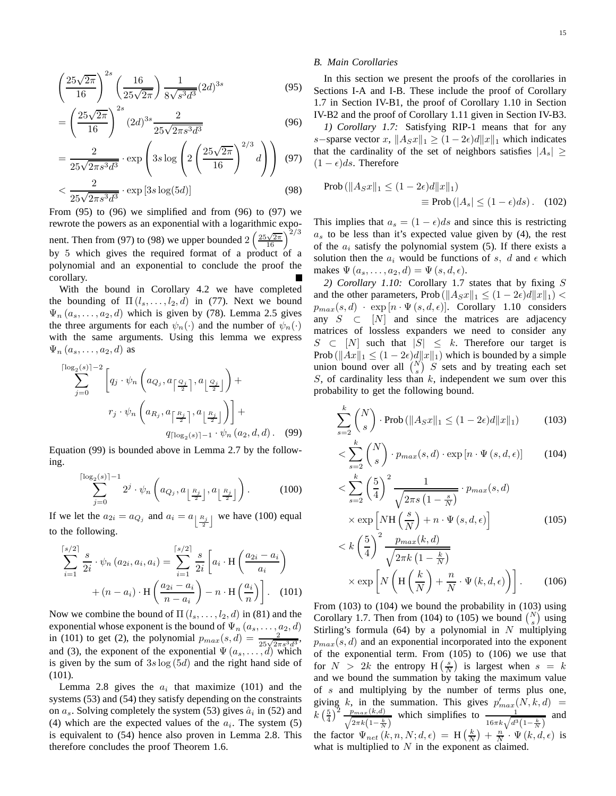$$
\left(\frac{25\sqrt{2\pi}}{16}\right)^{2s} \left(\frac{16}{25\sqrt{2\pi}}\right) \frac{1}{8\sqrt{s^3 d^3}} (2d)^{3s} \tag{95}
$$

$$
= \left(\frac{25\sqrt{2\pi}}{16}\right)^{2s} (2d)^{3s} \frac{2}{25\sqrt{2\pi s^3 d^3}} \tag{96}
$$

$$
= \frac{2}{25\sqrt{2\pi s^3 d^3}} \cdot \exp\left(3s \log\left(2\left(\frac{25\sqrt{2\pi}}{16}\right)^{2/3}d\right)\right)
$$
(97)

$$
\langle \frac{2}{25\sqrt{2\pi s^3 d^3}} \cdot \exp\left[3s \log(5d)\right] \tag{98}
$$

From  $(95)$  to  $(96)$  we simplified and from  $(96)$  to  $(97)$  we rewrote the powers as an exponential with a logarithmic exponent. Then from (97) to (98) we upper bounded  $2\left(\frac{25\sqrt{2\pi}}{16}\right)^{2/3}$ by 5 which gives the required format of a product of a polynomial and an exponential to conclude the proof the corollary.

With the bound in Corollary 4.2 we have completed the bounding of  $\Pi(l_1,\ldots,l_2,d)$  in (77). Next we bound  $\Psi_n(a_s, \ldots, a_2, d)$  which is given by (78). Lemma 2.5 gives the three arguments for each  $\psi_n(\cdot)$  and the number of  $\psi_n(\cdot)$ with the same arguments. Using this lemma we express  $\Psi_n(a_s,\ldots,a_2,d)$  as

$$
\sum_{j=0}^{\lceil \log_2(s) \rceil - 2} \left[ q_j \cdot \psi_n \left( a_{Q_j}, a_{\lceil \frac{Q_j}{2} \rceil}, a_{\lfloor \frac{Q_j}{2} \rfloor} \right) + \right]
$$

$$
r_j \cdot \psi_n \left( a_{R_j}, a_{\lceil \frac{R_j}{2} \rceil}, a_{\lfloor \frac{R_j}{2} \rfloor} \right) \right] +
$$

$$
q_{\lceil \log_2(s) \rceil - 1} \cdot \psi_n (a_2, d, d). \quad (99)
$$

Equation (99) is bounded above in Lemma 2.7 by the following.

$$
\sum_{j=0}^{\lceil \log_2(s) \rceil - 1} 2^j \cdot \psi_n\left(a_{Q_j}, a_{\lfloor \frac{R_j}{2} \rfloor}, a_{\lfloor \frac{R_j}{2} \rfloor}\right).
$$
 (100)

If we let the  $a_{2i} = a_{Q_j}$  and  $a_i = a_{\lfloor \frac{R_j}{2} \rfloor}$  we have (100) equal to the following.

$$
\sum_{i=1}^{\lceil s/2 \rceil} \frac{s}{2i} \cdot \psi_n(a_{2i}, a_i, a_i) = \sum_{i=1}^{\lceil s/2 \rceil} \frac{s}{2i} \left[ a_i \cdot \mathcal{H}\left(\frac{a_{2i} - a_i}{a_i}\right) + (n - a_i) \cdot \mathcal{H}\left(\frac{a_{2i} - a_i}{n - a_i}\right) - n \cdot \mathcal{H}\left(\frac{a_i}{n}\right) \right].
$$
 (101)

Now we combine the bound of  $\Pi$  ( $l_s, \ldots, l_2, d$ ) in (81) and the exponential whose exponent is the bound of  $\Psi_n(a_s, \ldots, a_2, d)$ in (101) to get (2), the polynomial  $p_{max}(s, d) = \frac{2}{25\sqrt{2\pi s^3 d^3}}$ , and (3), the exponent of the exponential  $\Psi(a_s, \ldots, d)$  which is given by the sum of  $3s \log(5d)$  and the right hand side of (101).

Lemma 2.8 gives the  $a_i$  that maximize (101) and the systems (53) and (54) they satisfy depending on the constraints on  $a_s$ . Solving completely the system (53) gives  $\hat{a}_i$  in (52) and (4) which are the expected values of the  $a_i$ . The system (5) is equivalent to (54) hence also proven in Lemma 2.8. This therefore concludes the proof Theorem 1.6.

## *B. Main Corollaries*

In this section we present the proofs of the corollaries in Sections I-A and I-B. These include the proof of Corollary 1.7 in Section IV-B1, the proof of Corollary 1.10 in Section IV-B2 and the proof of Corollary 1.11 given in Section IV-B3.

*1) Corollary 1.7:* Satisfying RIP-1 means that for any s−sparse vector x,  $||A_Sx||_1 \geq (1-2\epsilon)d||x||_1$  which indicates that the cardinality of the set of neighbors satisfies  $|A_s| \geq$  $(1 - \epsilon)ds$ . Therefore

$$
\text{Prob}\left(\|A_S x\|_1 \le (1 - 2\epsilon)d\|x\|_1\right)
$$
  

$$
\equiv \text{Prob}\left(|A_s| \le (1 - \epsilon)ds\right). \quad (102)
$$

This implies that  $a_s = (1 - \epsilon)ds$  and since this is restricting  $a<sub>s</sub>$  to be less than it's expected value given by (4), the rest of the  $a_i$  satisfy the polynomial system (5). If there exists a solution then the  $a_i$  would be functions of s, d and  $\epsilon$  which makes  $\Psi(a_s, \ldots, a_2, d) = \Psi(s, d, \epsilon).$ 

*2) Corollary 1.10:* Corollary 1.7 states that by fixing S and the other parameters, Prob ( $||A_Sx||_1 \leq (1-2\epsilon)d||x||_1$ ) <  $p_{max}(s, d)$  · exp  $[n \cdot \Psi(s, d, \epsilon)]$ . Corollary 1.10 considers any  $S \subset [N]$  and since the matrices are adjacency matrices of lossless expanders we need to consider any  $S \subset [N]$  such that  $|S| \leq k$ . Therefore our target is Prob ( $\|Ax\|_1 \leq (1-2\epsilon)d\|x\|_1$ ) which is bounded by a simple union bound over all  $\binom{N}{s}$  *S* sets and by treating each set S, of cardinality less than  $k$ , independent we sum over this probability to get the following bound.

$$
\sum_{s=2}^{k} \binom{N}{s} \cdot \text{Prob}\left(\|A_{S}x\|_{1} \le (1 - 2\epsilon)d\|x\|_{1}\right) \tag{103}
$$

$$
\langle \sum_{s=2}^{k} \binom{N}{s} \cdot p_{max}(s, d) \cdot \exp\left[n \cdot \Psi\left(s, d, \epsilon\right)\right] \tag{104}
$$

$$
\langle \sum_{s=2}^{k} \left(\frac{5}{4}\right)^2 \frac{1}{\sqrt{2\pi s \left(1 - \frac{s}{N}\right)}} \cdot p_{max}(s, d) \times \exp\left[N\mathbf{H}\left(\frac{s}{N}\right) + n \cdot \Psi\left(s, d, \epsilon\right)\right] \times k\left(\frac{5}{4}\right)^2 \frac{p_{max}(k, d)}{\sqrt{2\pi k \left(1 - \frac{k}{N}\right)}} \tag{105}
$$

$$
\times \exp\left[N\left(H\left(\frac{k}{N}\right) + \frac{n}{N} \cdot \Psi(k, d, \epsilon)\right)\right].
$$
 (106)

From (103) to (104) we bound the probability in (103) using Corollary 1.7. Then from (104) to (105) we bound  $\binom{N}{s}$  using Stirling's formula (64) by a polynomial in  $N$  multiplying  $p_{max}(s, d)$  and an exponential incorporated into the exponent of the exponential term. From (105) to (106) we use that for  $N > 2k$  the entropy  $H\left(\frac{s}{N}\right)$  is largest when  $s = k$ and we bound the summation by taking the maximum value of s and multiplying by the number of terms plus one, giving k, in the summation. This gives  $p'_{max}(N, k, d)$  =  $k\left(\frac{5}{4}\right)^2$  $\frac{p_{max}(k,d)}{\sqrt{2\pi k\left(1-\frac{k}{N}\right)}}$ which simplifies to  $\frac{1}{16\pi k\sqrt{d^3(1-\frac{k}{N})}}$  and the factor  $\Psi_{net}(k, n, N; d, \epsilon) = H(\frac{k}{N}) + \frac{n}{N} \cdot \Psi(k, d, \epsilon)$  is what is multiplied to  $N$  in the exponent as claimed.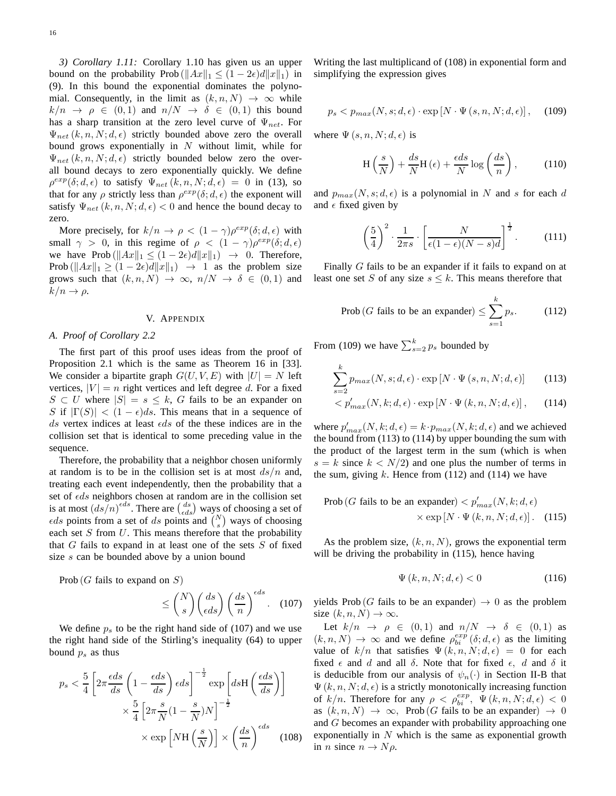*3) Corollary 1.11:* Corollary 1.10 has given us an upper bound on the probability Prob ( $||Ax||_1 \leq (1 - 2\epsilon)d||x||_1$ ) in (9). In this bound the exponential dominates the polynomial. Consequently, in the limit as  $(k, n, N) \rightarrow \infty$  while  $k/n \rightarrow \rho \in (0,1)$  and  $n/N \rightarrow \delta \in (0,1)$  this bound has a sharp transition at the zero level curve of  $\Psi_{net}$ . For  $\Psi_{net}(k, n, N; d, \epsilon)$  strictly bounded above zero the overall bound grows exponentially in  $N$  without limit, while for  $\Psi_{net}(k, n, N; d, \epsilon)$  strictly bounded below zero the overall bound decays to zero exponentially quickly. We define  $\rho^{exp}(\delta; d, \epsilon)$  to satisfy  $\Psi_{net}(k, n, N; d, \epsilon) = 0$  in (13), so that for any  $\rho$  strictly less than  $\rho^{exp}(\delta; d, \epsilon)$  the exponent will satisfy  $\Psi_{net}(k, n, N; d, \epsilon) < 0$  and hence the bound decay to zero.

More precisely, for  $k/n \to \rho < (1 - \gamma)\rho^{exp}(\delta; d, \epsilon)$  with small  $\gamma > 0$ , in this regime of  $\rho < (1 - \gamma)\rho^{exp}(\delta; d, \epsilon)$ we have Prob  $(\Vert Ax\Vert_1 \leq (1-2\epsilon)d\Vert x\Vert_1) \rightarrow 0$ . Therefore, Prob ( $||Ax||_1 \ge (1 - 2\epsilon)d||x||_1$ )  $\rightarrow$  1 as the problem size grows such that  $(k, n, N) \rightarrow \infty$ ,  $n/N \rightarrow \delta \in (0, 1)$  and  $k/n \rightarrow \rho$ .

#### V. APPENDIX

## *A. Proof of Corollary 2.2*

The first part of this proof uses ideas from the proof of Proposition 2.1 which is the same as Theorem 16 in [33]. We consider a bipartite graph  $G(U, V, E)$  with  $|U| = N$  left vertices,  $|V| = n$  right vertices and left degree d. For a fixed  $S \subset U$  where  $|S| = s \leq k$ , G fails to be an expander on S if  $|\Gamma(S)| < (1 - \epsilon)ds$ . This means that in a sequence of ds vertex indices at least  $\epsilon ds$  of the these indices are in the collision set that is identical to some preceding value in the sequence.

Therefore, the probability that a neighbor chosen uniformly at random is to be in the collision set is at most  $ds/n$  and, treating each event independently, then the probability that a set of  $\epsilon ds$  neighbors chosen at random are in the collision set is at most  $(ds/n)^{eds}$ . There are  $\binom{ds}{eds}$  ways of choosing a set of  $\epsilon ds$  points from a set of ds points and  $\binom{N}{s}$  ways of choosing each set  $S$  from  $U$ . This means therefore that the probability that  $G$  fails to expand in at least one of the sets  $S$  of fixed size s can be bounded above by a union bound

Prob  $(G$  fails to expand on  $S$ )

$$
\leq \binom{N}{s} \binom{ds}{\epsilon ds} \left(\frac{ds}{n}\right)^{\epsilon ds}.
$$
 (107)

We define  $p_s$  to be the right hand side of (107) and we use the right hand side of the Stirling's inequality (64) to upper bound  $p_s$  as thus

$$
p_s < \frac{5}{4} \left[ 2\pi \frac{\epsilon ds}{ds} \left( 1 - \frac{\epsilon ds}{ds} \right) \epsilon ds \right]^{-\frac{1}{2}} \exp\left[ ds \mathcal{H} \left( \frac{\epsilon ds}{ds} \right) \right]
$$
\n
$$
\times \frac{5}{4} \left[ 2\pi \frac{s}{N} (1 - \frac{s}{N}) N \right]^{-\frac{1}{2}}
$$
\n
$$
\times \exp\left[ N \mathcal{H} \left( \frac{s}{N} \right) \right] \times \left( \frac{ds}{n} \right)^{\epsilon ds} \quad (108)
$$

Writing the last multiplicand of (108) in exponential form and simplifying the expression gives

$$
p_s < p_{max}(N, s; d, \epsilon) \cdot \exp\left[N \cdot \Psi\left(s, n, N; d, \epsilon\right)\right],\tag{109}
$$

where  $\Psi(s, n, N; d, \epsilon)$  is

$$
H\left(\frac{s}{N}\right) + \frac{ds}{N}H\left(\epsilon\right) + \frac{\epsilon ds}{N}\log\left(\frac{ds}{n}\right),\tag{110}
$$

and  $p_{max}(N, s; d, \epsilon)$  is a polynomial in N and s for each d and  $\epsilon$  fixed given by

$$
\left(\frac{5}{4}\right)^2 \cdot \frac{1}{2\pi s} \cdot \left[\frac{N}{\epsilon(1-\epsilon)(N-s)d}\right]^{\frac{1}{2}}.
$$
 (111)

Finally G fails to be an expander if it fails to expand on at least one set S of any size  $s \leq k$ . This means therefore that

$$
\text{Prob}\left(G \text{ fails to be an expander}\right) \le \sum_{s=1}^{k} p_s. \tag{112}
$$

From (109) we have  $\sum_{s=2}^{k} p_s$  bounded by

$$
\sum_{s=2}^{k} p_{max}(N, s; d, \epsilon) \cdot \exp[N \cdot \Psi(s, n, N; d, \epsilon)] \tag{113}
$$

$$
\langle p'_{max}(N,k;d,\epsilon) \cdot \exp[N \cdot \Psi(k,n,N;d,\epsilon)], \qquad (114)
$$

where  $p'_{max}(N, k; d, \epsilon) = k \cdot p_{max}(N, k; d, \epsilon)$  and we achieved the bound from  $(113)$  to  $(114)$  by upper bounding the sum with the product of the largest term in the sum (which is when  $s = k$  since  $k < N/2$ ) and one plus the number of terms in the sum, giving  $k$ . Hence from (112) and (114) we have

Prob 
$$
(G
$$
 fails to be an expander)  $\langle p'_{max}(N, k; d, \epsilon)$   
  $\times \exp[N \cdot \Psi(k, n, N; d, \epsilon)].$  (115)

As the problem size,  $(k, n, N)$ , grows the exponential term will be driving the probability in  $(115)$ , hence having

$$
\Psi(k, n, N; d, \epsilon) < 0 \tag{116}
$$

yields Prob (G fails to be an expander)  $\rightarrow$  0 as the problem size  $(k, n, N) \rightarrow \infty$ .

Let  $k/n \rightarrow \rho \in (0,1)$  and  $n/N \rightarrow \delta \in (0,1)$  as  $(k, n, N) \rightarrow \infty$  and we define  $\rho_{bi}^{exp}(\delta; d, \epsilon)$  as the limiting value of  $k/n$  that satisfies  $\Psi(k, n, N; d, \epsilon) = 0$  for each fixed  $\epsilon$  and d and all  $\delta$ . Note that for fixed  $\epsilon$ , d and  $\delta$  it is deducible from our analysis of  $\psi_n(\cdot)$  in Section II-B that  $\Psi(k, n, N; d, \epsilon)$  is a strictly monotonically increasing function of  $k/n$ . Therefore for any  $\rho \langle \rho_{bi}^{exp}, \Psi(k,n,N;d,\epsilon) \rangle$ as  $(k, n, N) \rightarrow \infty$ , Prob (G fails to be an expander)  $\rightarrow 0$ and G becomes an expander with probability approaching one exponentially in  $N$  which is the same as exponential growth in *n* since  $n \rightarrow N \rho$ .